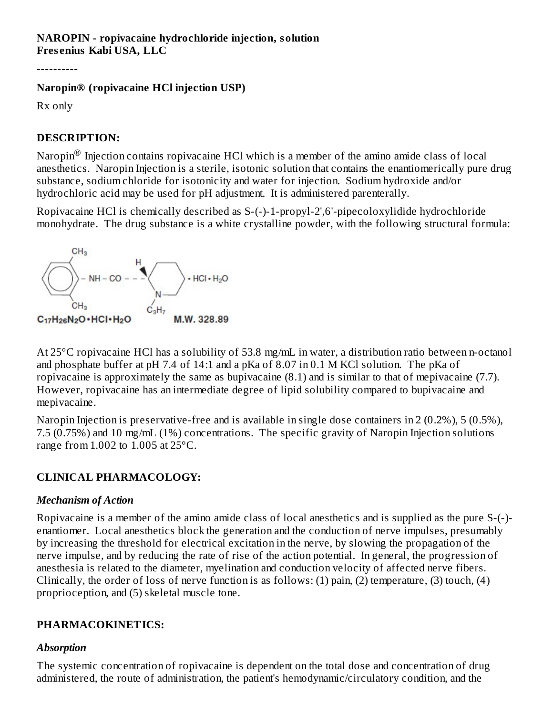#### **NAROPIN - ropivacaine hydrochloride injection, solution Fres enius Kabi USA, LLC**

----------

#### **Naropin® (ropivacaine HCl injection USP)**

Rx only

#### **DESCRIPTION:**

Naropin $^\circledR$  Injection contains ropivacaine HCl which is a member of the amino amide class of local anesthetics. Naropin Injection is a sterile, isotonic solution that contains the enantiomerically pure drug substance, sodium chloride for isotonicity and water for injection. Sodium hydroxide and/or hydrochloric acid may be used for pH adjustment. It is administered parenterally.

Ropivacaine HCl is chemically described as S-(-)-1-propyl-2',6'-pipecoloxylidide hydrochloride monohydrate. The drug substance is a white crystalline powder, with the following structural formula:



At 25°C ropivacaine HCl has a solubility of 53.8 mg/mL in water, a distribution ratio between n-octanol and phosphate buffer at pH 7.4 of 14:1 and a pKa of 8.07 in 0.1 M KCl solution. The pKa of ropivacaine is approximately the same as bupivacaine (8.1) and is similar to that of mepivacaine (7.7). However, ropivacaine has an intermediate degree of lipid solubility compared to bupivacaine and mepivacaine.

Naropin Injection is preservative-free and is available in single dose containers in 2 (0.2%), 5 (0.5%), 7.5 (0.75%) and 10 mg/mL (1%) concentrations. The specific gravity of Naropin Injection solutions range from 1.002 to 1.005 at 25°C.

# **CLINICAL PHARMACOLOGY:**

#### *Mechanism of Action*

Ropivacaine is a member of the amino amide class of local anesthetics and is supplied as the pure S-(-) enantiomer. Local anesthetics block the generation and the conduction of nerve impulses, presumably by increasing the threshold for electrical excitation in the nerve, by slowing the propagation of the nerve impulse, and by reducing the rate of rise of the action potential. In general, the progression of anesthesia is related to the diameter, myelination and conduction velocity of affected nerve fibers. Clinically, the order of loss of nerve function is as follows: (1) pain, (2) temperature, (3) touch, (4) proprioception, and (5) skeletal muscle tone.

#### **PHARMACOKINETICS:**

#### *Absorption*

The systemic concentration of ropivacaine is dependent on the total dose and concentration of drug administered, the route of administration, the patient's hemodynamic/circulatory condition, and the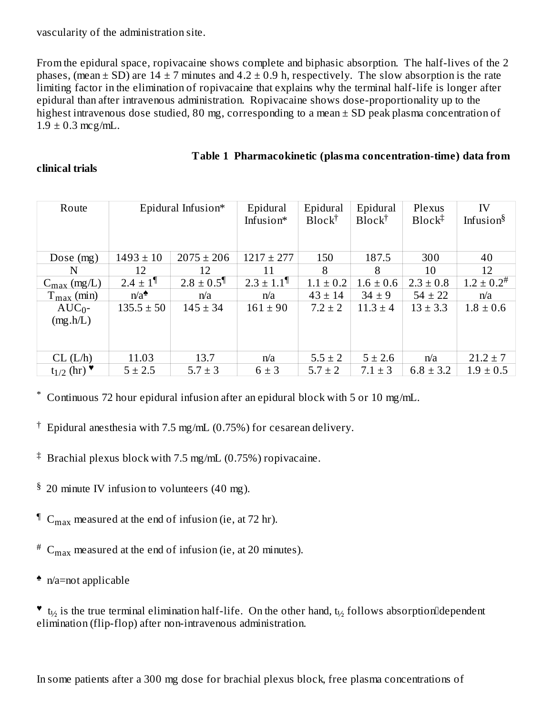vascularity of the administration site.

From the epidural space, ropivacaine shows complete and biphasic absorption. The half-lives of the 2 phases, (mean  $\pm$  SD) are 14  $\pm$  7 minutes and 4.2  $\pm$  0.9 h, respectively. The slow absorption is the rate limiting factor in the elimination of ropivacaine that explains why the terminal half-life is longer after epidural than after intravenous administration. Ropivacaine shows dose-proportionality up to the highest intravenous dose studied, 80 mg, corresponding to a mean  $\pm$  SD peak plasma concentration of  $1.9 \pm 0.3$  mcg/mL.

#### **clinical trials**

#### **Table 1 Pharmacokinetic (plasma concentration-time) data from**

| Route                   | Epidural Infusion*       |                            | Epidural<br>Infusion*      | Epidural<br>$Block^{\dagger}$ | Epidural<br>$Block^{\dagger}$ | Plexus<br>$Block^{\ddagger}$ | IV<br>Infusion <sup>§</sup> |
|-------------------------|--------------------------|----------------------------|----------------------------|-------------------------------|-------------------------------|------------------------------|-----------------------------|
|                         |                          |                            |                            |                               |                               |                              |                             |
| Dose $(mg)$             | $1493 \pm 10$            | $2075 \pm 206$             | $1217 \pm 277$             | 150                           | 187.5                         | 300                          | 40                          |
| N                       | 12                       | 12                         | 11                         | 8                             | 8                             | 10                           | 12                          |
| $C_{\text{max}}$ (mg/L) | $2.4 \pm 1$ <sup>¶</sup> | $2.8 \pm 0.5$ <sup>1</sup> | $2.3 \pm 1.1$ <sup>1</sup> | $1.1 \pm 0.2$                 | $1.6 \pm 0.6$                 | $2.3 \pm 0.8$                | $1.2 \pm 0.2^{\#}$          |
| $T_{\text{max}}$ (min)  | $n/a^*$                  | n/a                        | n/a                        | $43 \pm 14$                   | $34 \pm 9$                    | $54 \pm 22$                  | n/a                         |
| $AUC_0$ -               | $135.5 \pm 50$           | $145 \pm 34$               | $161 \pm 90$               | $7.2 \pm 2$                   | $11.3 \pm 4$                  | $13 \pm 3.3$                 | $1.8 \pm 0.6$               |
| (mg.h/L)                |                          |                            |                            |                               |                               |                              |                             |
|                         |                          |                            |                            |                               |                               |                              |                             |
|                         |                          |                            |                            |                               |                               |                              |                             |
| CL(L/h)                 | 11.03                    | 13.7                       | n/a                        | $5.5 \pm 2$                   | $5 \pm 2.6$                   | n/a                          | $21.2 \pm 7$                |
| $t_{1/2}$ (hr)          | 5 ± 2.5                  | $5.7 \pm 3$                | $6 \pm 3$                  | $5.7 \pm 2$                   | $7.1 \pm 3$                   | $6.8 \pm 3.2$                | $1.9 \pm 0.5$               |

Continuous 72 hour epidural infusion after an epidural block with 5 or 10 mg/mL. \*

- $\dagger$  Epidural anesthesia with 7.5 mg/mL (0.75%) for cesarean delivery.
- $\ddagger$  Brachial plexus block with 7.5 mg/mL (0.75%) ropivacaine.
- $\frac{1}{2}$  20 minute IV infusion to volunteers (40 mg).
- $\blacksquare$  C<sub>max</sub> measured at the end of infusion (ie, at 72 hr).
- $^{\#}$  C<sub>max</sub> measured at the end of infusion (ie, at 20 minutes).
- n/a=not applicable ♠

 $\bullet$  t<sub>1/2</sub> is the true terminal elimination half-life. On the other hand, t<sub>1/2</sub> follows absorption dependent elimination (flip-flop) after non-intravenous administration.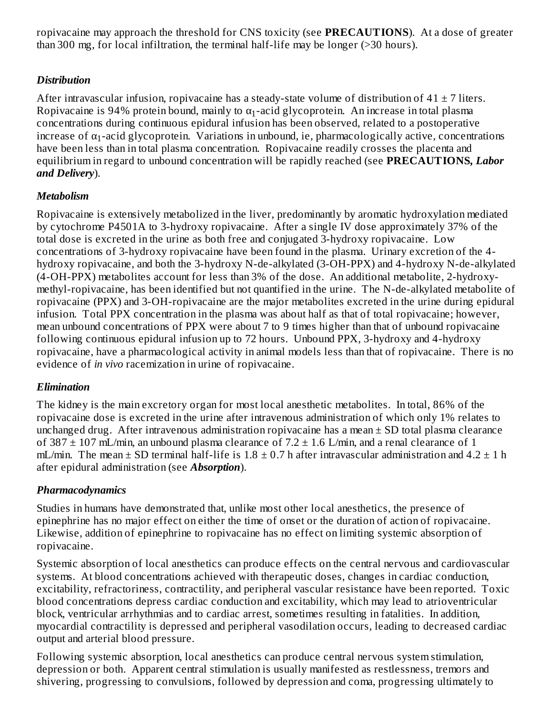ropivacaine may approach the threshold for CNS toxicity (see **PRECAUTIONS**). At a dose of greater than 300 mg, for local infiltration, the terminal half-life may be longer (>30 hours).

# *Distribution*

After intravascular infusion, ropivacaine has a steady-state volume of distribution of 41  $\pm$  7 liters. Ropivacaine is 94% protein bound, mainly to  $\alpha_1$ -acid glycoprotein. An increase in total plasma concentrations during continuous epidural infusion has been observed, related to a postoperative increase of  $\alpha_1$ -acid glycoprotein. Variations in unbound, ie, pharmacologically active, concentrations have been less than in total plasma concentration. Ropivacaine readily crosses the placenta and equilibrium in regard to unbound concentration will be rapidly reached (see **PRECAUTIONS***, Labor and Delivery*).

# *Metabolism*

Ropivacaine is extensively metabolized in the liver, predominantly by aromatic hydroxylation mediated by cytochrome P4501A to 3-hydroxy ropivacaine. After a single IV dose approximately 37% of the total dose is excreted in the urine as both free and conjugated 3-hydroxy ropivacaine. Low concentrations of 3-hydroxy ropivacaine have been found in the plasma. Urinary excretion of the 4 hydroxy ropivacaine, and both the 3-hydroxy N-de-alkylated (3-OH-PPX) and 4-hydroxy N-de-alkylated (4-OH-PPX) metabolites account for less than 3% of the dose. An additional metabolite, 2-hydroxymethyl-ropivacaine, has been identified but not quantified in the urine. The N-de-alkylated metabolite of ropivacaine (PPX) and 3-OH-ropivacaine are the major metabolites excreted in the urine during epidural infusion. Total PPX concentration in the plasma was about half as that of total ropivacaine; however, mean unbound concentrations of PPX were about 7 to 9 times higher than that of unbound ropivacaine following continuous epidural infusion up to 72 hours. Unbound PPX, 3-hydroxy and 4-hydroxy ropivacaine, have a pharmacological activity in animal models less than that of ropivacaine. There is no evidence of *in vivo* racemization in urine of ropivacaine.

# *Elimination*

The kidney is the main excretory organ for most local anesthetic metabolites. In total, 86% of the ropivacaine dose is excreted in the urine after intravenous administration of which only 1% relates to unchanged drug. After intravenous administration ropivacaine has a mean  $\pm$  SD total plasma clearance of 387  $\pm$  107 mL/min, an unbound plasma clearance of 7.2  $\pm$  1.6 L/min, and a renal clearance of 1 mL/min. The mean  $\pm$  SD terminal half-life is 1.8  $\pm$  0.7 h after intravascular administration and 4.2  $\pm$  1 h after epidural administration (see *Absorption*).

# *Pharmacodynamics*

Studies in humans have demonstrated that, unlike most other local anesthetics, the presence of epinephrine has no major effect on either the time of onset or the duration of action of ropivacaine. Likewise, addition of epinephrine to ropivacaine has no effect on limiting systemic absorption of ropivacaine.

Systemic absorption of local anesthetics can produce effects on the central nervous and cardiovascular systems. At blood concentrations achieved with therapeutic doses, changes in cardiac conduction, excitability, refractoriness, contractility, and peripheral vascular resistance have been reported. Toxic blood concentrations depress cardiac conduction and excitability, which may lead to atrioventricular block, ventricular arrhythmias and to cardiac arrest, sometimes resulting in fatalities. In addition, myocardial contractility is depressed and peripheral vasodilation occurs, leading to decreased cardiac output and arterial blood pressure.

Following systemic absorption, local anesthetics can produce central nervous system stimulation, depression or both. Apparent central stimulation is usually manifested as restlessness, tremors and shivering, progressing to convulsions, followed by depression and coma, progressing ultimately to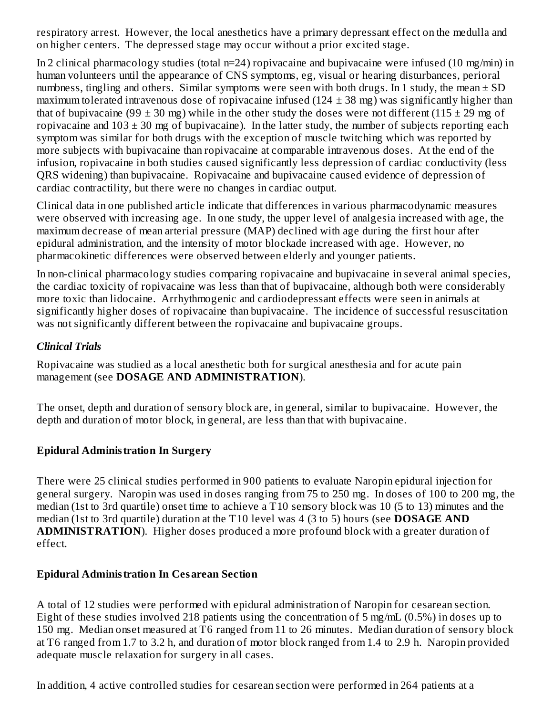respiratory arrest. However, the local anesthetics have a primary depressant effect on the medulla and on higher centers. The depressed stage may occur without a prior excited stage.

In 2 clinical pharmacology studies (total n=24) ropivacaine and bupivacaine were infused (10 mg/min) in human volunteers until the appearance of CNS symptoms, eg, visual or hearing disturbances, perioral numbness, tingling and others. Similar symptoms were seen with both drugs. In 1 study, the mean  $\pm$  SD maximum tolerated intravenous dose of ropivacaine infused (124  $\pm$  38 mg) was significantly higher than that of bupivacaine (99  $\pm$  30 mg) while in the other study the doses were not different (115  $\pm$  29 mg of ropivacaine and  $103 \pm 30$  mg of bupivacaine). In the latter study, the number of subjects reporting each symptom was similar for both drugs with the exception of muscle twitching which was reported by more subjects with bupivacaine than ropivacaine at comparable intravenous doses. At the end of the infusion, ropivacaine in both studies caused significantly less depression of cardiac conductivity (less QRS widening) than bupivacaine. Ropivacaine and bupivacaine caused evidence of depression of cardiac contractility, but there were no changes in cardiac output.

Clinical data in one published article indicate that differences in various pharmacodynamic measures were observed with increasing age. In one study, the upper level of analgesia increased with age, the maximum decrease of mean arterial pressure (MAP) declined with age during the first hour after epidural administration, and the intensity of motor blockade increased with age. However, no pharmacokinetic differences were observed between elderly and younger patients.

In non-clinical pharmacology studies comparing ropivacaine and bupivacaine in several animal species, the cardiac toxicity of ropivacaine was less than that of bupivacaine, although both were considerably more toxic than lidocaine. Arrhythmogenic and cardiodepressant effects were seen in animals at significantly higher doses of ropivacaine than bupivacaine. The incidence of successful resuscitation was not significantly different between the ropivacaine and bupivacaine groups.

# *Clinical Trials*

Ropivacaine was studied as a local anesthetic both for surgical anesthesia and for acute pain management (see **DOSAGE AND ADMINISTRATION**).

The onset, depth and duration of sensory block are, in general, similar to bupivacaine. However, the depth and duration of motor block, in general, are less than that with bupivacaine.

# **Epidural Administration In Surgery**

There were 25 clinical studies performed in 900 patients to evaluate Naropin epidural injection for general surgery. Naropin was used in doses ranging from 75 to 250 mg. In doses of 100 to 200 mg, the median (1st to 3rd quartile) onset time to achieve a T10 sensory block was 10 (5 to 13) minutes and the median (1st to 3rd quartile) duration at the T10 level was 4 (3 to 5) hours (see **DOSAGE AND ADMINISTRATION**). Higher doses produced a more profound block with a greater duration of effect.

#### **Epidural Administration In Cesarean Section**

A total of 12 studies were performed with epidural administration of Naropin for cesarean section. Eight of these studies involved 218 patients using the concentration of 5 mg/mL (0.5%) in doses up to 150 mg. Median onset measured at T6 ranged from 11 to 26 minutes. Median duration of sensory block at T6 ranged from 1.7 to 3.2 h, and duration of motor block ranged from 1.4 to 2.9 h. Naropin provided adequate muscle relaxation for surgery in all cases.

In addition, 4 active controlled studies for cesarean section were performed in 264 patients at a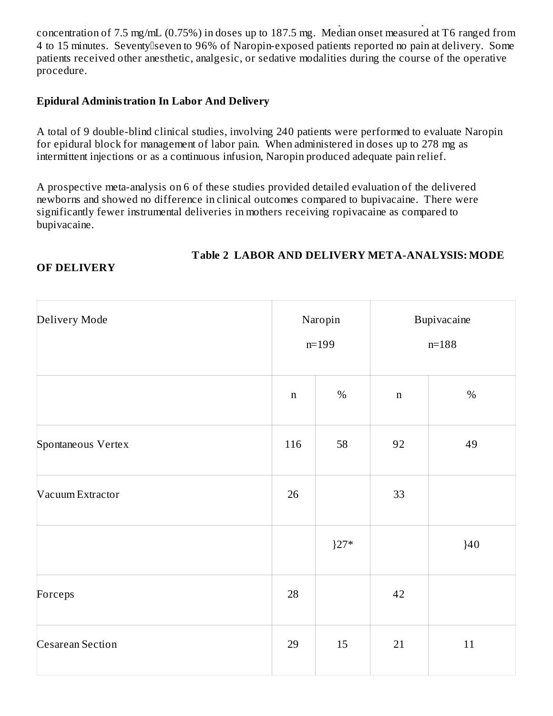In addition, 4 active controlled studies for cesarean section were performed in 264 patients at a concentration of 7.5 mg/mL (0.75%) in doses up to 187.5 mg. Median onset measured at T6 ranged from 4 to 15 minutes. Seventyllseven to 96% of Naropin-exposed patients reported no pain at delivery. Some patients received other anesthetic, analgesic, or sedative modalities during the course of the operative procedure.

#### **Epidural Administration In Labor And Delivery**

A total of 9 double-blind clinical studies, involving 240 patients were performed to evaluate Naropin for epidural block for management of labor pain. When administered in doses up to 278 mg as intermittent injections or as a continuous infusion, Naropin produced adequate pain relief.

A prospective meta-analysis on 6 of these studies provided detailed evaluation of the delivered newborns and showed no difference in clinical outcomes compared to bupivacaine. There were significantly fewer instrumental deliveries in mothers receiving ropivacaine as compared to bupivacaine.

# **Table 2 LABOR AND DELIVERY META-ANALYSIS: MODE**

#### **OF DELIVERY**

| Delivery Mode           |             | Naropin<br>$n = 199$ | Bupivacaine<br>$n = 188$ |        |  |
|-------------------------|-------------|----------------------|--------------------------|--------|--|
|                         | $\mathbf n$ | $\%$                 | $\mathbf n$              | $\%$   |  |
| Spontaneous Vertex      | 116         | 58                   | 92                       | 49     |  |
| Vacuum Extractor        | 26          |                      | 33                       |        |  |
|                         |             | $327*$               |                          | $}40$  |  |
| Forceps                 | 28          |                      | 42                       |        |  |
| <b>Cesarean Section</b> | 29          | 15                   | 21                       | $11\,$ |  |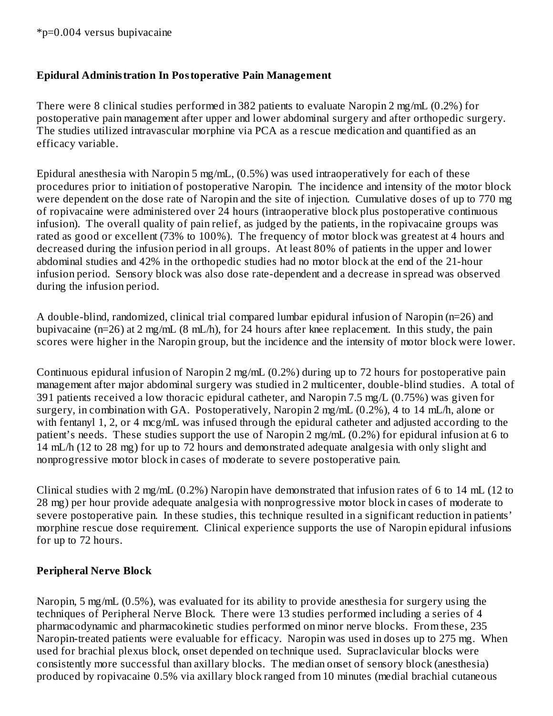# **Epidural Administration In Postoperative Pain Management**

There were 8 clinical studies performed in 382 patients to evaluate Naropin 2 mg/mL (0.2%) for postoperative pain management after upper and lower abdominal surgery and after orthopedic surgery. The studies utilized intravascular morphine via PCA as a rescue medication and quantified as an efficacy variable.

Epidural anesthesia with Naropin 5 mg/mL, (0.5%) was used intraoperatively for each of these procedures prior to initiation of postoperative Naropin. The incidence and intensity of the motor block were dependent on the dose rate of Naropin and the site of injection. Cumulative doses of up to 770 mg of ropivacaine were administered over 24 hours (intraoperative block plus postoperative continuous infusion). The overall quality of pain relief, as judged by the patients, in the ropivacaine groups was rated as good or excellent (73% to 100%). The frequency of motor block was greatest at 4 hours and decreased during the infusion period in all groups. At least 80% of patients in the upper and lower abdominal studies and 42% in the orthopedic studies had no motor block at the end of the 21-hour infusion period. Sensory block was also dose rate-dependent and a decrease in spread was observed during the infusion period.

A double-blind, randomized, clinical trial compared lumbar epidural infusion of Naropin (n=26) and bupivacaine (n=26) at 2 mg/mL (8 mL/h), for 24 hours after knee replacement. In this study, the pain scores were higher in the Naropin group, but the incidence and the intensity of motor block were lower.

Continuous epidural infusion of Naropin 2 mg/mL (0.2%) during up to 72 hours for postoperative pain management after major abdominal surgery was studied in 2 multicenter, double-blind studies. A total of 391 patients received a low thoracic epidural catheter, and Naropin 7.5 mg/L (0.75%) was given for surgery, in combination with GA. Postoperatively, Naropin 2 mg/mL (0.2%), 4 to 14 mL/h, alone or with fentanyl 1, 2, or 4 mcg/mL was infused through the epidural catheter and adjusted according to the patient's needs. These studies support the use of Naropin 2 mg/mL (0.2%) for epidural infusion at 6 to 14 mL/h (12 to 28 mg) for up to 72 hours and demonstrated adequate analgesia with only slight and nonprogressive motor block in cases of moderate to severe postoperative pain.

Clinical studies with 2 mg/mL (0.2%) Naropin have demonstrated that infusion rates of 6 to 14 mL (12 to 28 mg) per hour provide adequate analgesia with nonprogressive motor block in cases of moderate to severe postoperative pain. In these studies, this technique resulted in a significant reduction in patients' morphine rescue dose requirement. Clinical experience supports the use of Naropin epidural infusions for up to 72 hours.

# **Peripheral Nerve Block**

Naropin, 5 mg/mL (0.5%), was evaluated for its ability to provide anesthesia for surgery using the techniques of Peripheral Nerve Block. There were 13 studies performed including a series of 4 pharmacodynamic and pharmacokinetic studies performed on minor nerve blocks. From these, 235 Naropin-treated patients were evaluable for efficacy. Naropin was used in doses up to 275 mg. When used for brachial plexus block, onset depended on technique used. Supraclavicular blocks were consistently more successful than axillary blocks. The median onset of sensory block (anesthesia) produced by ropivacaine 0.5% via axillary block ranged from 10 minutes (medial brachial cutaneous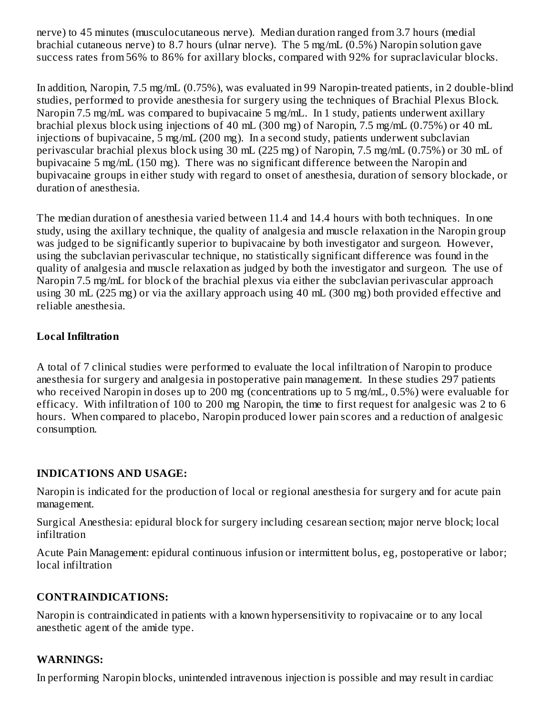nerve) to 45 minutes (musculocutaneous nerve). Median duration ranged from 3.7 hours (medial brachial cutaneous nerve) to 8.7 hours (ulnar nerve). The 5 mg/mL (0.5%) Naropin solution gave success rates from 56% to 86% for axillary blocks, compared with 92% for supraclavicular blocks.

In addition, Naropin, 7.5 mg/mL (0.75%), was evaluated in 99 Naropin-treated patients, in 2 double-blind studies, performed to provide anesthesia for surgery using the techniques of Brachial Plexus Block. Naropin 7.5 mg/mL was compared to bupivacaine 5 mg/mL. In 1 study, patients underwent axillary brachial plexus block using injections of 40 mL (300 mg) of Naropin, 7.5 mg/mL (0.75%) or 40 mL injections of bupivacaine, 5 mg/mL (200 mg). In a second study, patients underwent subclavian perivascular brachial plexus block using 30 mL (225 mg) of Naropin, 7.5 mg/mL (0.75%) or 30 mL of bupivacaine 5 mg/mL (150 mg). There was no significant difference between the Naropin and bupivacaine groups in either study with regard to onset of anesthesia, duration of sensory blockade, or duration of anesthesia.

The median duration of anesthesia varied between 11.4 and 14.4 hours with both techniques. In one study, using the axillary technique, the quality of analgesia and muscle relaxation in the Naropin group was judged to be significantly superior to bupivacaine by both investigator and surgeon. However, using the subclavian perivascular technique, no statistically significant difference was found in the quality of analgesia and muscle relaxation as judged by both the investigator and surgeon. The use of Naropin 7.5 mg/mL for block of the brachial plexus via either the subclavian perivascular approach using 30 mL (225 mg) or via the axillary approach using 40 mL (300 mg) both provided effective and reliable anesthesia.

# **Local Infiltration**

A total of 7 clinical studies were performed to evaluate the local infiltration of Naropin to produce anesthesia for surgery and analgesia in postoperative pain management. In these studies 297 patients who received Naropin in doses up to 200 mg (concentrations up to 5 mg/mL, 0.5%) were evaluable for efficacy. With infiltration of 100 to 200 mg Naropin, the time to first request for analgesic was 2 to 6 hours. When compared to placebo, Naropin produced lower pain scores and a reduction of analgesic consumption.

# **INDICATIONS AND USAGE:**

Naropin is indicated for the production of local or regional anesthesia for surgery and for acute pain management.

Surgical Anesthesia: epidural block for surgery including cesarean section; major nerve block; local infiltration

Acute Pain Management: epidural continuous infusion or intermittent bolus, eg, postoperative or labor; local infiltration

# **CONTRAINDICATIONS:**

Naropin is contraindicated in patients with a known hypersensitivity to ropivacaine or to any local anesthetic agent of the amide type.

#### **WARNINGS:**

In performing Naropin blocks, unintended intravenous injection is possible and may result in cardiac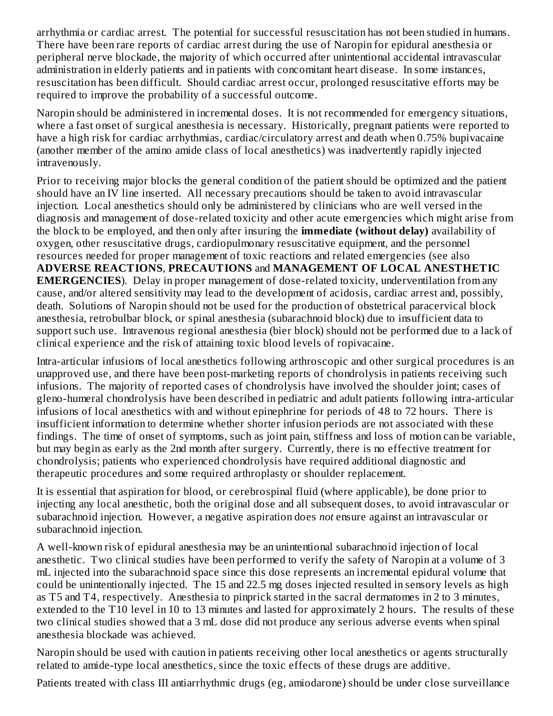arrhythmia or cardiac arrest. The potential for successful resuscitation has not been studied in humans. There have been rare reports of cardiac arrest during the use of Naropin for epidural anesthesia or peripheral nerve blockade, the majority of which occurred after unintentional accidental intravascular administration in elderly patients and in patients with concomitant heart disease. In some instances, resuscitation has been difficult. Should cardiac arrest occur, prolonged resuscitative efforts may be required to improve the probability of a successful outcome.

Naropin should be administered in incremental doses. It is not recommended for emergency situations, where a fast onset of surgical anesthesia is necessary. Historically, pregnant patients were reported to have a high risk for cardiac arrhythmias, cardiac/circulatory arrest and death when 0.75% bupivacaine (another member of the amino amide class of local anesthetics) was inadvertently rapidly injected intravenously.

Prior to receiving major blocks the general condition of the patient should be optimized and the patient should have an IV line inserted. All necessary precautions should be taken to avoid intravascular injection. Local anesthetics should only be administered by clinicians who are well versed in the diagnosis and management of dose-related toxicity and other acute emergencies which might arise from the block to be employed, and then only after insuring the **immediate (without delay)** availability of oxygen, other resuscitative drugs, cardiopulmonary resuscitative equipment, and the personnel resources needed for proper management of toxic reactions and related emergencies (see also **ADVERSE REACTIONS**, **PRECAUTIONS** and **MANAGEMENT OF LOCAL ANESTHETIC EMERGENCIES**). Delay in proper management of dose-related toxicity, underventilation from any cause, and/or altered sensitivity may lead to the development of acidosis, cardiac arrest and, possibly, death. Solutions of Naropin should not be used for the production of obstetrical paracervical block anesthesia, retrobulbar block, or spinal anesthesia (subarachnoid block) due to insufficient data to support such use. Intravenous regional anesthesia (bier block) should not be performed due to a lack of clinical experience and the risk of attaining toxic blood levels of ropivacaine.

Intra-articular infusions of local anesthetics following arthroscopic and other surgical procedures is an unapproved use, and there have been post-marketing reports of chondrolysis in patients receiving such infusions. The majority of reported cases of chondrolysis have involved the shoulder joint; cases of gleno-humeral chondrolysis have been described in pediatric and adult patients following intra-articular infusions of local anesthetics with and without epinephrine for periods of 48 to 72 hours. There is insufficient information to determine whether shorter infusion periods are not associated with these findings. The time of onset of symptoms, such as joint pain, stiffness and loss of motion can be variable, but may begin as early as the 2nd month after surgery. Currently, there is no effective treatment for chondrolysis; patients who experienced chondrolysis have required additional diagnostic and therapeutic procedures and some required arthroplasty or shoulder replacement.

It is essential that aspiration for blood, or cerebrospinal fluid (where applicable), be done prior to injecting any local anesthetic, both the original dose and all subsequent doses, to avoid intravascular or subarachnoid injection. However, a negative aspiration does *not* ensure against an intravascular or subarachnoid injection.

A well-known risk of epidural anesthesia may be an unintentional subarachnoid injection of local anesthetic. Two clinical studies have been performed to verify the safety of Naropin at a volume of 3 mL injected into the subarachnoid space since this dose represents an incremental epidural volume that could be unintentionally injected. The 15 and 22.5 mg doses injected resulted in sensory levels as high as T5 and T4, respectively. Anesthesia to pinprick started in the sacral dermatomes in 2 to 3 minutes, extended to the T10 level in 10 to 13 minutes and lasted for approximately 2 hours. The results of these two clinical studies showed that a 3 mL dose did not produce any serious adverse events when spinal anesthesia blockade was achieved.

Naropin should be used with caution in patients receiving other local anesthetics or agents structurally related to amide-type local anesthetics, since the toxic effects of these drugs are additive.

Patients treated with class III antiarrhythmic drugs (eg, amiodarone) should be under close surveillance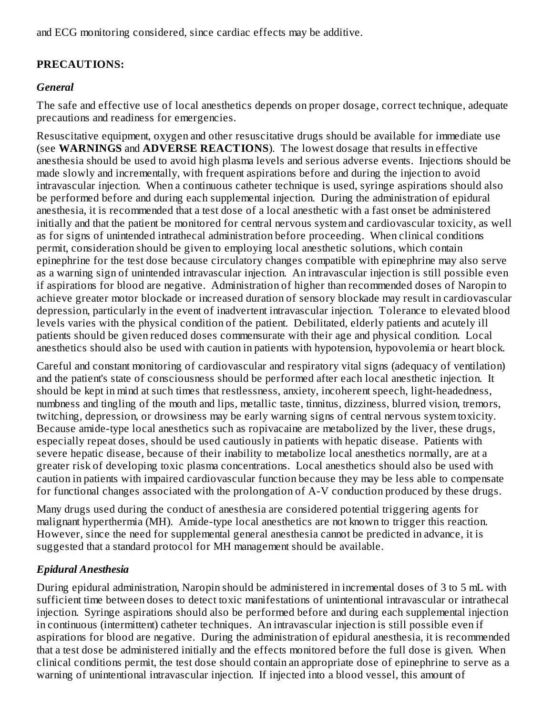and ECG monitoring considered, since cardiac effects may be additive.

# **PRECAUTIONS:**

#### *General*

The safe and effective use of local anesthetics depends on proper dosage, correct technique, adequate precautions and readiness for emergencies.

Resuscitative equipment, oxygen and other resuscitative drugs should be available for immediate use (see **WARNINGS** and **ADVERSE REACTIONS**). The lowest dosage that results in effective anesthesia should be used to avoid high plasma levels and serious adverse events. Injections should be made slowly and incrementally, with frequent aspirations before and during the injection to avoid intravascular injection. When a continuous catheter technique is used, syringe aspirations should also be performed before and during each supplemental injection. During the administration of epidural anesthesia, it is recommended that a test dose of a local anesthetic with a fast onset be administered initially and that the patient be monitored for central nervous system and cardiovascular toxicity, as well as for signs of unintended intrathecal administration before proceeding. When clinical conditions permit, consideration should be given to employing local anesthetic solutions, which contain epinephrine for the test dose because circulatory changes compatible with epinephrine may also serve as a warning sign of unintended intravascular injection. An intravascular injection is still possible even if aspirations for blood are negative. Administration of higher than recommended doses of Naropin to achieve greater motor blockade or increased duration of sensory blockade may result in cardiovascular depression, particularly in the event of inadvertent intravascular injection. Tolerance to elevated blood levels varies with the physical condition of the patient. Debilitated, elderly patients and acutely ill patients should be given reduced doses commensurate with their age and physical condition. Local anesthetics should also be used with caution in patients with hypotension, hypovolemia or heart block.

Careful and constant monitoring of cardiovascular and respiratory vital signs (adequacy of ventilation) and the patient's state of consciousness should be performed after each local anesthetic injection. It should be kept in mind at such times that restlessness, anxiety, incoherent speech, light-headedness, numbness and tingling of the mouth and lips, metallic taste, tinnitus, dizziness, blurred vision, tremors, twitching, depression, or drowsiness may be early warning signs of central nervous system toxicity. Because amide-type local anesthetics such as ropivacaine are metabolized by the liver, these drugs, especially repeat doses, should be used cautiously in patients with hepatic disease. Patients with severe hepatic disease, because of their inability to metabolize local anesthetics normally, are at a greater risk of developing toxic plasma concentrations. Local anesthetics should also be used with caution in patients with impaired cardiovascular function because they may be less able to compensate for functional changes associated with the prolongation of A-V conduction produced by these drugs.

Many drugs used during the conduct of anesthesia are considered potential triggering agents for malignant hyperthermia (MH). Amide-type local anesthetics are not known to trigger this reaction. However, since the need for supplemental general anesthesia cannot be predicted in advance, it is suggested that a standard protocol for MH management should be available.

#### *Epidural Anesthesia*

During epidural administration, Naropin should be administered in incremental doses of 3 to 5 mL with sufficient time between doses to detect toxic manifestations of unintentional intravascular or intrathecal injection. Syringe aspirations should also be performed before and during each supplemental injection in continuous (intermittent) catheter techniques. An intravascular injection is still possible even if aspirations for blood are negative. During the administration of epidural anesthesia, it is recommended that a test dose be administered initially and the effects monitored before the full dose is given. When clinical conditions permit, the test dose should contain an appropriate dose of epinephrine to serve as a warning of unintentional intravascular injection. If injected into a blood vessel, this amount of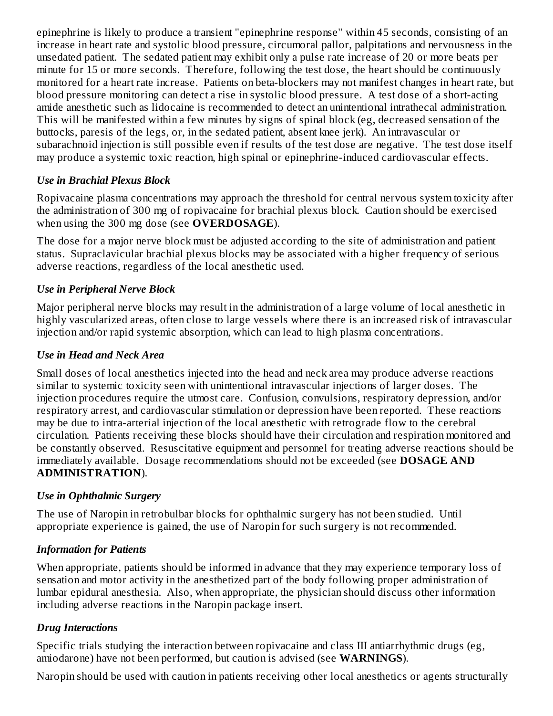epinephrine is likely to produce a transient "epinephrine response" within 45 seconds, consisting of an increase in heart rate and systolic blood pressure, circumoral pallor, palpitations and nervousness in the unsedated patient. The sedated patient may exhibit only a pulse rate increase of 20 or more beats per minute for 15 or more seconds. Therefore, following the test dose, the heart should be continuously monitored for a heart rate increase. Patients on beta-blockers may not manifest changes in heart rate, but blood pressure monitoring can detect a rise in systolic blood pressure. A test dose of a short-acting amide anesthetic such as lidocaine is recommended to detect an unintentional intrathecal administration. This will be manifested within a few minutes by signs of spinal block (eg, decreased sensation of the buttocks, paresis of the legs, or, in the sedated patient, absent knee jerk). An intravascular or subarachnoid injection is still possible even if results of the test dose are negative. The test dose itself may produce a systemic toxic reaction, high spinal or epinephrine-induced cardiovascular effects.

#### *Use in Brachial Plexus Block*

Ropivacaine plasma concentrations may approach the threshold for central nervous system toxicity after the administration of 300 mg of ropivacaine for brachial plexus block. Caution should be exercised when using the 300 mg dose (see **OVERDOSAGE**).

The dose for a major nerve block must be adjusted according to the site of administration and patient status. Supraclavicular brachial plexus blocks may be associated with a higher frequency of serious adverse reactions, regardless of the local anesthetic used.

# *Use in Peripheral Nerve Block*

Major peripheral nerve blocks may result in the administration of a large volume of local anesthetic in highly vascularized areas, often close to large vessels where there is an increased risk of intravascular injection and/or rapid systemic absorption, which can lead to high plasma concentrations.

#### *Use in Head and Neck Area*

Small doses of local anesthetics injected into the head and neck area may produce adverse reactions similar to systemic toxicity seen with unintentional intravascular injections of larger doses. The injection procedures require the utmost care. Confusion, convulsions, respiratory depression, and/or respiratory arrest, and cardiovascular stimulation or depression have been reported. These reactions may be due to intra-arterial injection of the local anesthetic with retrograde flow to the cerebral circulation. Patients receiving these blocks should have their circulation and respiration monitored and be constantly observed. Resuscitative equipment and personnel for treating adverse reactions should be immediately available. Dosage recommendations should not be exceeded (see **DOSAGE AND ADMINISTRATION**).

#### *Use in Ophthalmic Surgery*

The use of Naropin in retrobulbar blocks for ophthalmic surgery has not been studied. Until appropriate experience is gained, the use of Naropin for such surgery is not recommended.

#### *Information for Patients*

When appropriate, patients should be informed in advance that they may experience temporary loss of sensation and motor activity in the anesthetized part of the body following proper administration of lumbar epidural anesthesia. Also, when appropriate, the physician should discuss other information including adverse reactions in the Naropin package insert.

# *Drug Interactions*

Specific trials studying the interaction between ropivacaine and class III antiarrhythmic drugs (eg, amiodarone) have not been performed, but caution is advised (see **WARNINGS**).

Naropin should be used with caution in patients receiving other local anesthetics or agents structurally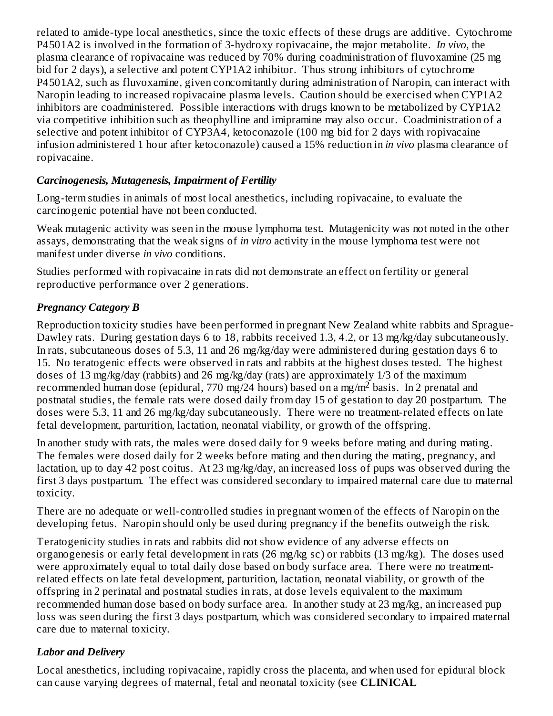related to amide-type local anesthetics, since the toxic effects of these drugs are additive. Cytochrome P4501A2 is involved in the formation of 3-hydroxy ropivacaine, the major metabolite. *In vivo*, the plasma clearance of ropivacaine was reduced by 70% during coadministration of fluvoxamine (25 mg bid for 2 days), a selective and potent CYP1A2 inhibitor. Thus strong inhibitors of cytochrome P4501A2, such as fluvoxamine, given concomitantly during administration of Naropin, can interact with Naropin leading to increased ropivacaine plasma levels. Caution should be exercised when CYP1A2 inhibitors are coadministered. Possible interactions with drugs known to be metabolized by CYP1A2 via competitive inhibition such as theophylline and imipramine may also occur. Coadministration of a selective and potent inhibitor of CYP3A4, ketoconazole (100 mg bid for 2 days with ropivacaine infusion administered 1 hour after ketoconazole) caused a 15% reduction in *in vivo* plasma clearance of ropivacaine.

#### *Carcinogenesis, Mutagenesis, Impairment of Fertility*

Long-term studies in animals of most local anesthetics, including ropivacaine, to evaluate the carcinogenic potential have not been conducted.

Weak mutagenic activity was seen in the mouse lymphoma test. Mutagenicity was not noted in the other assays, demonstrating that the weak signs of *in vitro* activity in the mouse lymphoma test were not manifest under diverse *in vivo* conditions.

Studies performed with ropivacaine in rats did not demonstrate an effect on fertility or general reproductive performance over 2 generations.

#### *Pregnancy Category B*

Reproduction toxicity studies have been performed in pregnant New Zealand white rabbits and Sprague-Dawley rats. During gestation days 6 to 18, rabbits received 1.3, 4.2, or 13 mg/kg/day subcutaneously. In rats, subcutaneous doses of 5.3, 11 and 26 mg/kg/day were administered during gestation days 6 to 15. No teratogenic effects were observed in rats and rabbits at the highest doses tested. The highest doses of 13 mg/kg/day (rabbits) and 26 mg/kg/day (rats) are approximately 1/3 of the maximum recommended human dose (epidural, 770 mg/24 hours) based on a mg/m<sup>2</sup> basis. In 2 prenatal and postnatal studies, the female rats were dosed daily from day 15 of gestation to day 20 postpartum. The doses were 5.3, 11 and 26 mg/kg/day subcutaneously. There were no treatment-related effects on late fetal development, parturition, lactation, neonatal viability, or growth of the offspring.

In another study with rats, the males were dosed daily for 9 weeks before mating and during mating. The females were dosed daily for 2 weeks before mating and then during the mating, pregnancy, and lactation, up to day 42 post coitus. At 23 mg/kg/day, an increased loss of pups was observed during the first 3 days postpartum. The effect was considered secondary to impaired maternal care due to maternal toxicity.

There are no adequate or well-controlled studies in pregnant women of the effects of Naropin on the developing fetus. Naropin should only be used during pregnancy if the benefits outweigh the risk.

Teratogenicity studies in rats and rabbits did not show evidence of any adverse effects on organogenesis or early fetal development in rats (26 mg/kg sc) or rabbits (13 mg/kg). The doses used were approximately equal to total daily dose based on body surface area. There were no treatmentrelated effects on late fetal development, parturition, lactation, neonatal viability, or growth of the offspring in 2 perinatal and postnatal studies in rats, at dose levels equivalent to the maximum recommended human dose based on body surface area. In another study at 23 mg/kg, an increased pup loss was seen during the first 3 days postpartum, which was considered secondary to impaired maternal care due to maternal toxicity.

#### *Labor and Delivery*

Local anesthetics, including ropivacaine, rapidly cross the placenta, and when used for epidural block can cause varying degrees of maternal, fetal and neonatal toxicity (see **CLINICAL**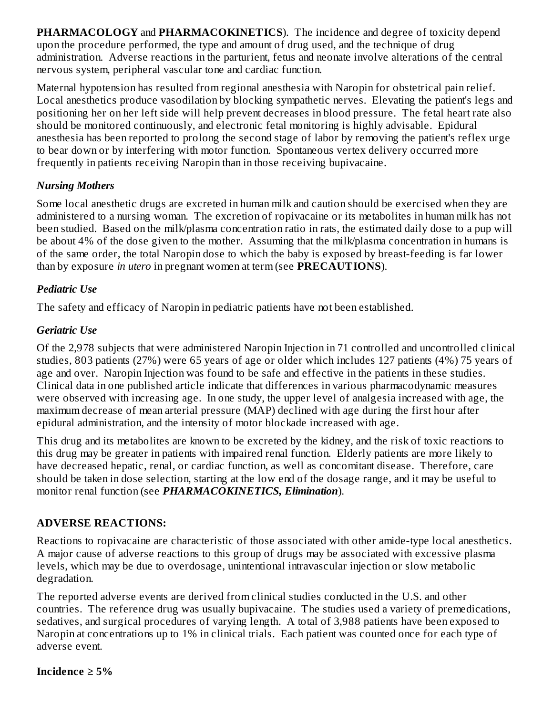**PHARMACOLOGY** and **PHARMACOKINETICS**). The incidence and degree of toxicity depend upon the procedure performed, the type and amount of drug used, and the technique of drug administration. Adverse reactions in the parturient, fetus and neonate involve alterations of the central nervous system, peripheral vascular tone and cardiac function.

Maternal hypotension has resulted from regional anesthesia with Naropin for obstetrical pain relief. Local anesthetics produce vasodilation by blocking sympathetic nerves. Elevating the patient's legs and positioning her on her left side will help prevent decreases in blood pressure. The fetal heart rate also should be monitored continuously, and electronic fetal monitoring is highly advisable. Epidural anesthesia has been reported to prolong the second stage of labor by removing the patient's reflex urge to bear down or by interfering with motor function. Spontaneous vertex delivery occurred more frequently in patients receiving Naropin than in those receiving bupivacaine.

# *Nursing Mothers*

Some local anesthetic drugs are excreted in human milk and caution should be exercised when they are administered to a nursing woman. The excretion of ropivacaine or its metabolites in human milk has not been studied. Based on the milk/plasma concentration ratio in rats, the estimated daily dose to a pup will be about 4% of the dose given to the mother. Assuming that the milk/plasma concentration in humans is of the same order, the total Naropin dose to which the baby is exposed by breast-feeding is far lower than by exposure *in utero* in pregnant women at term (see **PRECAUTIONS**).

# *Pediatric Use*

The safety and efficacy of Naropin in pediatric patients have not been established.

# *Geriatric Use*

Of the 2,978 subjects that were administered Naropin Injection in 71 controlled and uncontrolled clinical studies, 803 patients (27%) were 65 years of age or older which includes 127 patients (4%) 75 years of age and over. Naropin Injection was found to be safe and effective in the patients in these studies. Clinical data in one published article indicate that differences in various pharmacodynamic measures were observed with increasing age. In one study, the upper level of analgesia increased with age, the maximum decrease of mean arterial pressure (MAP) declined with age during the first hour after epidural administration, and the intensity of motor blockade increased with age.

This drug and its metabolites are known to be excreted by the kidney, and the risk of toxic reactions to this drug may be greater in patients with impaired renal function. Elderly patients are more likely to have decreased hepatic, renal, or cardiac function, as well as concomitant disease. Therefore, care should be taken in dose selection, starting at the low end of the dosage range, and it may be useful to monitor renal function (see *PHARMACOKINETICS, Elimination*).

# **ADVERSE REACTIONS:**

Reactions to ropivacaine are characteristic of those associated with other amide-type local anesthetics. A major cause of adverse reactions to this group of drugs may be associated with excessive plasma levels, which may be due to overdosage, unintentional intravascular injection or slow metabolic degradation.

The reported adverse events are derived from clinical studies conducted in the U.S. and other countries. The reference drug was usually bupivacaine. The studies used a variety of premedications, sedatives, and surgical procedures of varying length. A total of 3,988 patients have been exposed to Naropin at concentrations up to 1% in clinical trials. Each patient was counted once for each type of adverse event.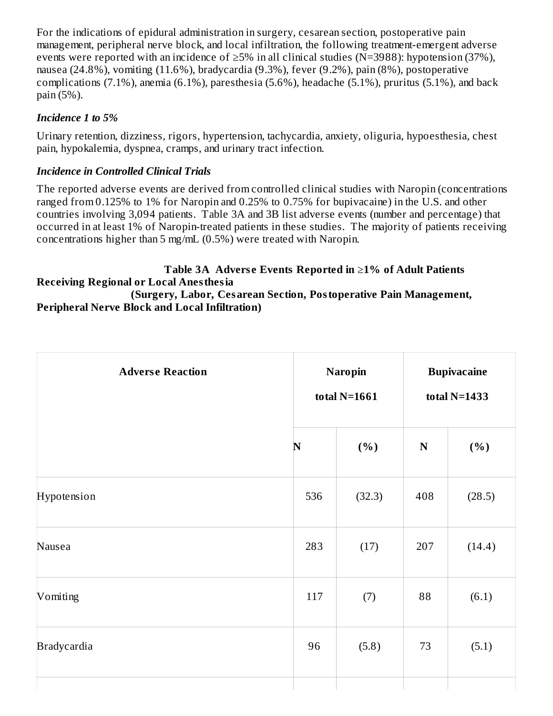For the indications of epidural administration in surgery, cesarean section, postoperative pain management, peripheral nerve block, and local infiltration, the following treatment-emergent adverse events were reported with an incidence of ≥5% in all clinical studies (N=3988): hypotension (37%), nausea (24.8%), vomiting (11.6%), bradycardia (9.3%), fever (9.2%), pain (8%), postoperative complications (7.1%), anemia (6.1%), paresthesia (5.6%), headache (5.1%), pruritus (5.1%), and back pain (5%).

#### *Incidence 1 to 5%*

Urinary retention, dizziness, rigors, hypertension, tachycardia, anxiety, oliguria, hypoesthesia, chest pain, hypokalemia, dyspnea, cramps, and urinary tract infection.

#### *Incidence in Controlled Clinical Trials*

The reported adverse events are derived from controlled clinical studies with Naropin (concentrations ranged from 0.125% to 1% for Naropin and 0.25% to 0.75% for bupivacaine) in the U.S. and other countries involving 3,094 patients. Table 3A and 3B list adverse events (number and percentage) that occurred in at least 1% of Naropin-treated patients in these studies. The majority of patients receiving concentrations higher than 5 mg/mL (0.5%) were treated with Naropin.

# **Table 3A Advers e Events Reported in** ≥**1% of Adult Patients Receiving Regional or Local Anesthesia**

#### **(Surgery, Labor, Cesarean Section, Postoperative Pain Management, Peripheral Nerve Block and Local Infiltration)**

| <b>Adverse Reaction</b> |             | <b>Naropin</b><br>total $N=1661$ | <b>Bupivacaine</b><br>total $N=1433$ |        |  |
|-------------------------|-------------|----------------------------------|--------------------------------------|--------|--|
|                         | $\mathbf N$ | (% )                             | ${\bf N}$                            | (%)    |  |
| Hypotension             | 536         | (32.3)                           | 408                                  | (28.5) |  |
| Nausea                  | 283         | (17)                             | 207                                  | (14.4) |  |
| Vomiting                | 117         | (7)                              | 88                                   | (6.1)  |  |
| <b>Bradycardia</b>      | 96          | (5.8)                            | 73                                   | (5.1)  |  |
|                         |             |                                  |                                      |        |  |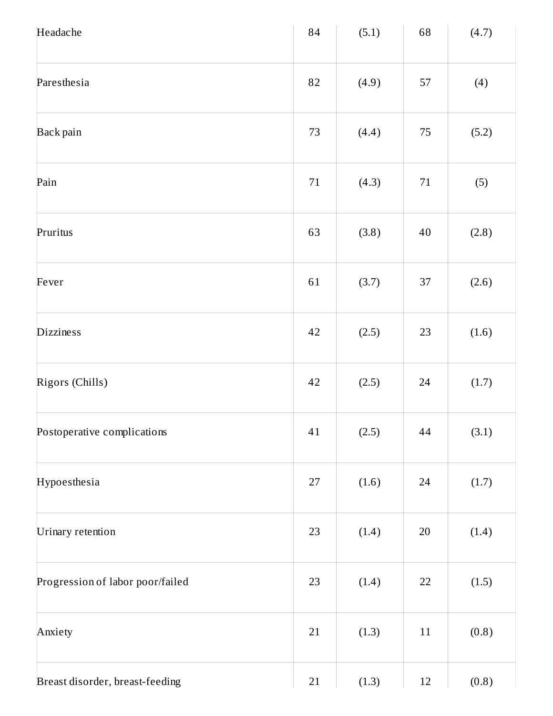| Headache                         | 84 | (5.1) | 68     | (4.7) |
|----------------------------------|----|-------|--------|-------|
| Paresthesia                      | 82 | (4.9) | 57     | (4)   |
| Back pain                        | 73 | (4.4) | $75\,$ | (5.2) |
| Pain                             | 71 | (4.3) | $71\,$ | (5)   |
| Pruritus                         | 63 | (3.8) | 40     | (2.8) |
| Fever                            | 61 | (3.7) | 37     | (2.6) |
| <b>Dizziness</b>                 | 42 | (2.5) | 23     | (1.6) |
| Rigors (Chills)                  | 42 | (2.5) | 24     | (1.7) |
| Postoperative complications      | 41 | (2.5) | 44     | (3.1) |
| Hypoesthesia                     | 27 | (1.6) | 24     | (1.7) |
| Urinary retention                | 23 | (1.4) | 20     | (1.4) |
| Progression of labor poor/failed | 23 | (1.4) | 22     | (1.5) |
| Anxiety                          | 21 | (1.3) | $11\,$ | (0.8) |
| Breast disorder, breast-feeding  | 21 | (1.3) | 12     | (0.8) |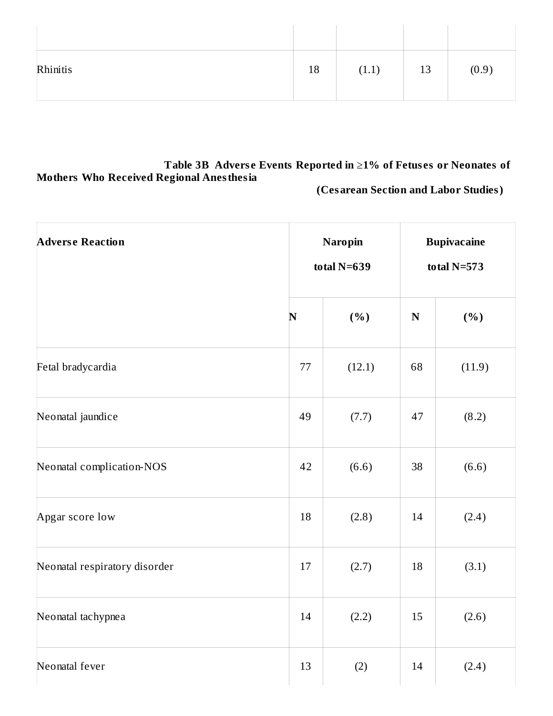| Rhinitis | 18 | (1.1) | 13 | (0.9) |
|----------|----|-------|----|-------|

#### **Table 3B Advers e Events Reported in** ≥**1% of Fetus es or Neonates of Mothers Who Received Regional Anesthesia**

**(Cesarean Section and Labor Studies)**

| <b>Adverse Reaction</b>       |    | <b>Naropin</b><br>total N=639 | <b>Bupivacaine</b><br>total $N=573$ |        |  |
|-------------------------------|----|-------------------------------|-------------------------------------|--------|--|
|                               | N  | (% )                          | ${\bf N}$                           | (% )   |  |
| Fetal bradycardia             | 77 | (12.1)                        | 68                                  | (11.9) |  |
| Neonatal jaundice             | 49 | (7.7)                         | 47                                  | (8.2)  |  |
| Neonatal complication-NOS     | 42 | (6.6)                         | 38                                  | (6.6)  |  |
| Apgar score low               | 18 | (2.8)                         | 14                                  | (2.4)  |  |
| Neonatal respiratory disorder | 17 | (2.7)                         | 18                                  | (3.1)  |  |
| Neonatal tachypnea            | 14 | (2.2)                         | 15                                  | (2.6)  |  |
| Neonatal fever                | 13 | (2)                           | $14$                                | (2.4)  |  |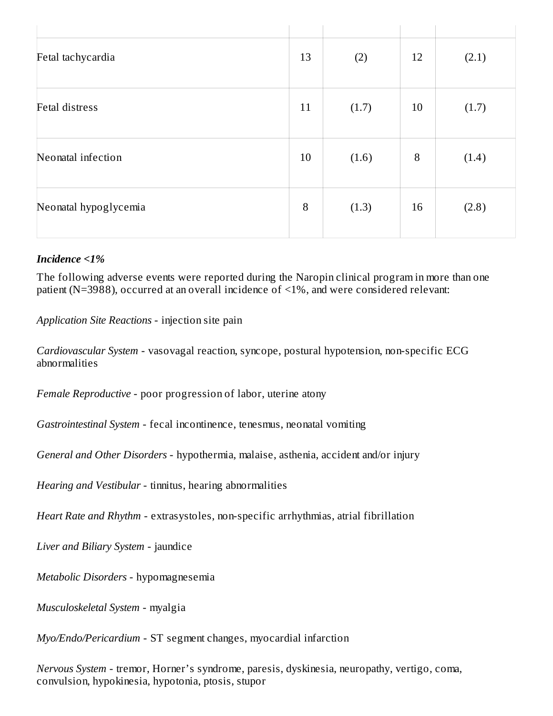| Fetal tachycardia     | 13 | (2)   | 12 | (2.1) |
|-----------------------|----|-------|----|-------|
| <b>Fetal distress</b> | 11 | (1.7) | 10 | (1.7) |
| Neonatal infection    | 10 | (1.6) | 8  | (1.4) |
| Neonatal hypoglycemia | 8  | (1.3) | 16 | (2.8) |

#### *Incidence <1%*

The following adverse events were reported during the Naropin clinical program in more than one patient (N=3988), occurred at an overall incidence of <1%, and were considered relevant:

*Application Site Reactions* - injection site pain

*Cardiovascular System* - vasovagal reaction, syncope, postural hypotension, non-specific ECG abnormalities

*Female Reproductive* - poor progression of labor, uterine atony

*Gastrointestinal System* - fecal incontinence, tenesmus, neonatal vomiting

*General and Other Disorders* - hypothermia, malaise, asthenia, accident and/or injury

*Hearing and Vestibular* - tinnitus, hearing abnormalities

*Heart Rate and Rhythm* - extrasystoles, non-specific arrhythmias, atrial fibrillation

*Liver and Biliary System* - jaundice

*Metabolic Disorders* - hypomagnesemia

*Musculoskeletal System* - myalgia

*Myo/Endo/Pericardium* - ST segment changes, myocardial infarction

*Nervous System* - tremor, Horner's syndrome, paresis, dyskinesia, neuropathy, vertigo, coma, convulsion, hypokinesia, hypotonia, ptosis, stupor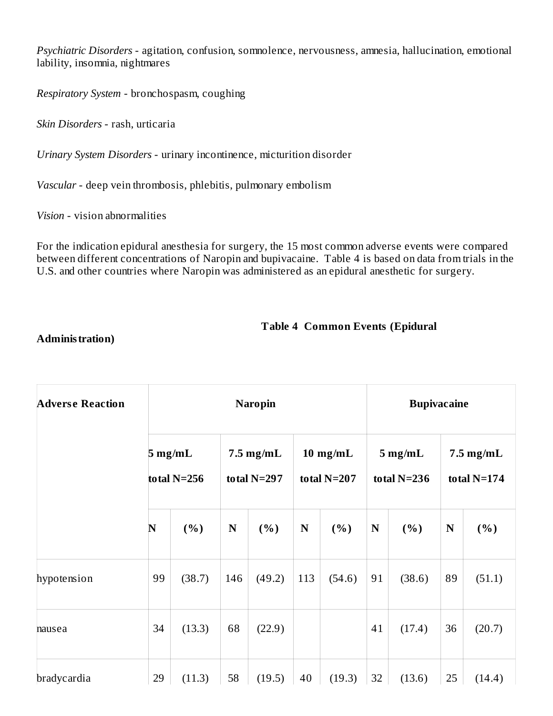*Psychiatric Disorders* - agitation, confusion, somnolence, nervousness, amnesia, hallucination, emotional lability, insomnia, nightmares

*Respiratory System* - bronchospasm, coughing

*Skin Disorders* - rash, urticaria

*Urinary System Disorders* - urinary incontinence, micturition disorder

*Vascular* - deep vein thrombosis, phlebitis, pulmonary embolism

*Vision* - vision abnormalities

For the indication epidural anesthesia for surgery, the 15 most common adverse events were compared between different concentrations of Naropin and bupivacaine. Table 4 is based on data from trials in the U.S. and other countries where Naropin was administered as an epidural anesthetic for surgery.

#### **Table 4 Common Events (Epidural**

#### **Administration)**

| <b>Adverse Reaction</b> |                                     |        |     | <b>Naropin</b>                       | <b>Bupivacaine</b> |                             |    |                                    |    |                                      |  |
|-------------------------|-------------------------------------|--------|-----|--------------------------------------|--------------------|-----------------------------|----|------------------------------------|----|--------------------------------------|--|
|                         | $5 \text{ mg/mL}$<br>to tal $N=256$ |        |     | $7.5 \text{ mg/mL}$<br>total $N=297$ |                    | $10$ mg/mL<br>total $N=207$ |    | $5 \text{ mg/mL}$<br>total $N=236$ |    | $7.5 \text{ mg/mL}$<br>total $N=174$ |  |
|                         | ${\bf N}$                           | (% )   | N   | (%)                                  | $\mathbf N$        | (% )                        | N  | (% )                               | N  | (%)                                  |  |
| hypotension             | 99                                  | (38.7) | 146 | (49.2)                               | 113                | (54.6)                      | 91 | (38.6)                             | 89 | (51.1)                               |  |
| nausea                  | 34                                  | (13.3) | 68  | (22.9)                               |                    |                             | 41 | (17.4)                             | 36 | (20.7)                               |  |
| bradycardia             | 29                                  | (11.3) | 58  | (19.5)                               | 40                 | (19.3)                      | 32 | (13.6)                             | 25 | (14.4)                               |  |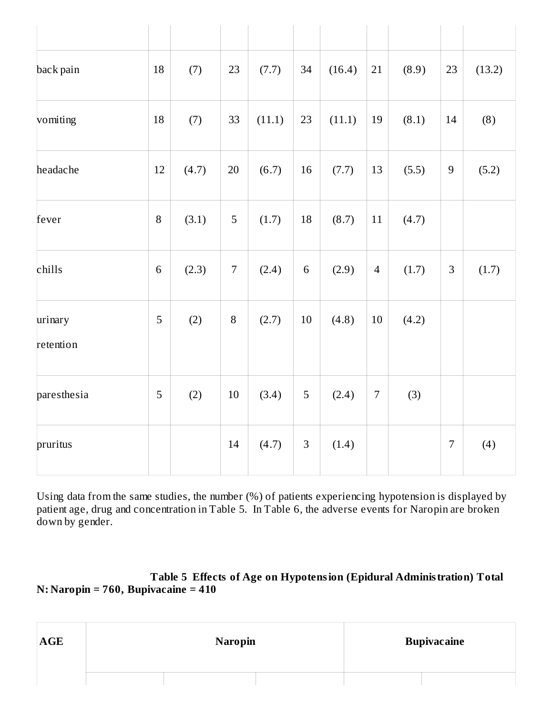| back pain            | 18      | (7)   | 23             | (7.7)  | 34           | (16.4) | 21             | (8.9) | 23             | (13.2) |
|----------------------|---------|-------|----------------|--------|--------------|--------|----------------|-------|----------------|--------|
| vomiting             | 18      | (7)   | 33             | (11.1) | 23           | (11.1) | 19             | (8.1) | 14             | (8)    |
| headache             | 12      | (4.7) | 20             | (6.7)  | 16           | (7.7)  | 13             | (5.5) | $9$            | (5.2)  |
| fever                | 8       | (3.1) | 5              | (1.7)  | 18           | (8.7)  | 11             | (4.7) |                |        |
| chills               | $\,6\,$ | (2.3) | $\overline{7}$ | (2.4)  | $\,6\,$      | (2.9)  | $\overline{4}$ | (1.7) | $\mathbf{3}$   | (1.7)  |
| urinary<br>retention | 5       | (2)   | $\, 8$         | (2.7)  | 10           | (4.8)  | 10             | (4.2) |                |        |
| paresthesia          | 5       | (2)   | $10\,$         | (3.4)  | 5            | (2.4)  | $\overline{7}$ | (3)   |                |        |
| pruritus             |         |       | 14             | (4.7)  | $\mathbf{3}$ | (1.4)  |                |       | $\overline{7}$ | (4)    |

Using data from the same studies, the number (%) of patients experiencing hypotension is displayed by patient age, drug and concentration in Table 5. In Table 6, the adverse events for Naropin are broken down by gender.

#### **Table 5 Effects of Age on Hypotension (Epidural Administration) Total N: Naropin = 760, Bupivacaine = 410**

| <b>AGE</b> | <b>Naropin</b> | <b>Bupivacaine</b> |
|------------|----------------|--------------------|
|            |                |                    |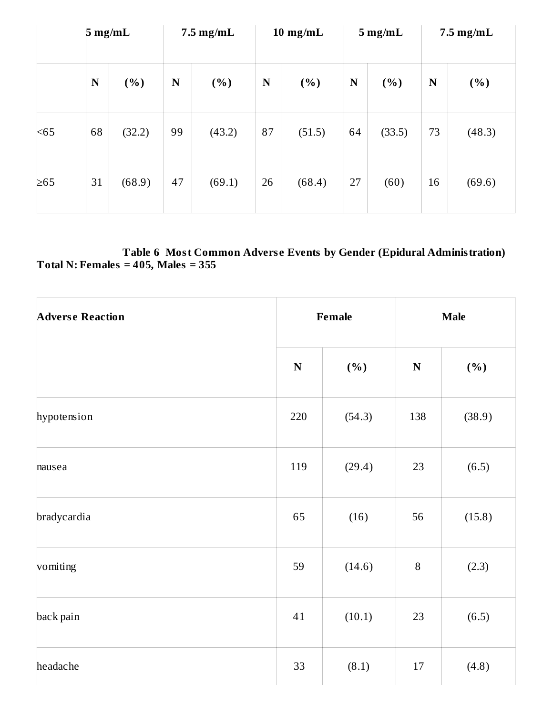|           |    | $5 \text{ mg/mL}$ |    | $7.5 \text{ mg/mL}$ |    |        | $10$ mg/mL |        | $5$ mg/mL<br>$7.5$ mg/mL |        |  |
|-----------|----|-------------------|----|---------------------|----|--------|------------|--------|--------------------------|--------|--|
|           | N  | (%)               | N  | (%)                 | N  | (%)    | N          | (%)    | N                        | (% )   |  |
| $ $ <65   | 68 | (32.2)            | 99 | (43.2)              | 87 | (51.5) | 64         | (33.5) | 73                       | (48.3) |  |
| $\geq 65$ | 31 | (68.9)            | 47 | (69.1)              | 26 | (68.4) | 27         | (60)   | 16                       | (69.6) |  |

#### **Table 6 Most Common Advers e Events by Gender (Epidural Administration) Total N: Females = 405, Males = 355**

| <b>Adverse Reaction</b> |           | <b>Female</b> | <b>Male</b> |        |  |
|-------------------------|-----------|---------------|-------------|--------|--|
|                         | ${\bf N}$ | (%)           | ${\bf N}$   | (%)    |  |
| hypotension             | 220       | (54.3)        | 138         | (38.9) |  |
| nausea                  | 119       | (29.4)        | 23          | (6.5)  |  |
| bradycardia             | 65        | (16)          | 56          | (15.8) |  |
| vomiting                | 59        | (14.6)        | $\, 8$      | (2.3)  |  |
| back pain               | 41        | (10.1)        | 23          | (6.5)  |  |
| headache                | 33        | (8.1)         | $17\,$      | (4.8)  |  |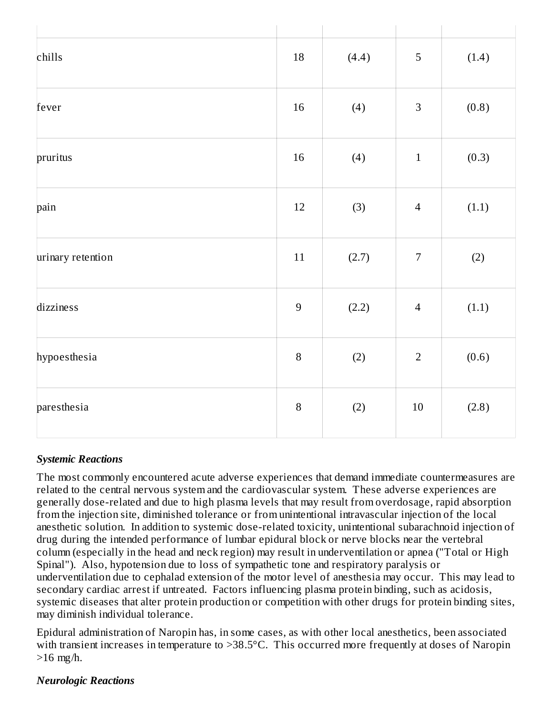| chills            | $18\,$         | (4.4) | 5                | (1.4) |
|-------------------|----------------|-------|------------------|-------|
| fever             | $16\,$         | (4)   | $\sqrt{3}$       | (0.8) |
| pruritus          | $16\,$         | (4)   | $1\,$            | (0.3) |
| pain              | 12             | (3)   | $\overline{4}$   | (1.1) |
| urinary retention | $11\,$         | (2.7) | $\boldsymbol{7}$ | (2)   |
| dizziness         | $\overline{9}$ | (2.2) | $\overline{4}$   | (1.1) |
| hypoesthesia      | $\, 8$         | (2)   | $\overline{2}$   | (0.6) |
| paresthesia       | $\, 8$         | (2)   | $10\,$           | (2.8) |

#### *Systemic Reactions*

The most commonly encountered acute adverse experiences that demand immediate countermeasures are related to the central nervous system and the cardiovascular system. These adverse experiences are generally dose-related and due to high plasma levels that may result from overdosage, rapid absorption from the injection site, diminished tolerance or from unintentional intravascular injection of the local anesthetic solution. In addition to systemic dose-related toxicity, unintentional subarachnoid injection of drug during the intended performance of lumbar epidural block or nerve blocks near the vertebral column (especially in the head and neck region) may result in underventilation or apnea ("Total or High Spinal"). Also, hypotension due to loss of sympathetic tone and respiratory paralysis or underventilation due to cephalad extension of the motor level of anesthesia may occur. This may lead to secondary cardiac arrest if untreated. Factors influencing plasma protein binding, such as acidosis, systemic diseases that alter protein production or competition with other drugs for protein binding sites, may diminish individual tolerance.

Epidural administration of Naropin has, in some cases, as with other local anesthetics, been associated with transient increases in temperature to >38.5°C. This occurred more frequently at doses of Naropin  $>16$  mg/h.

#### *Neurologic Reactions*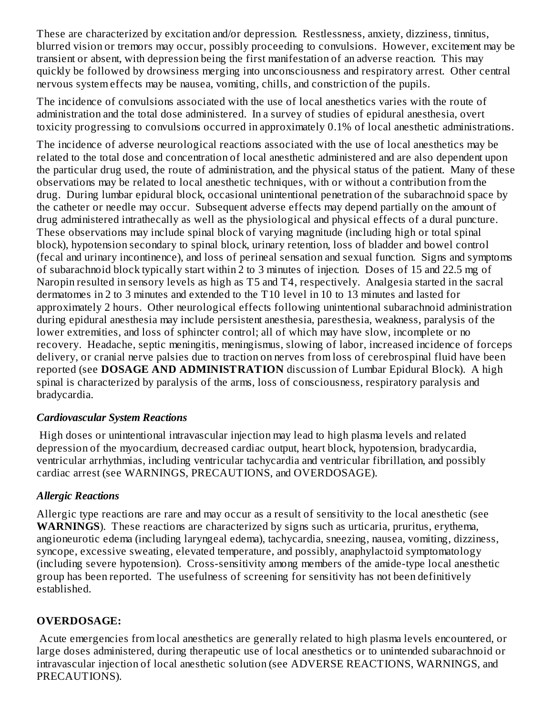These are characterized by excitation and/or depression. Restlessness, anxiety, dizziness, tinnitus, blurred vision or tremors may occur, possibly proceeding to convulsions. However, excitement may be transient or absent, with depression being the first manifestation of an adverse reaction. This may quickly be followed by drowsiness merging into unconsciousness and respiratory arrest. Other central nervous system effects may be nausea, vomiting, chills, and constriction of the pupils.

The incidence of convulsions associated with the use of local anesthetics varies with the route of administration and the total dose administered. In a survey of studies of epidural anesthesia, overt toxicity progressing to convulsions occurred in approximately 0.1% of local anesthetic administrations.

The incidence of adverse neurological reactions associated with the use of local anesthetics may be related to the total dose and concentration of local anesthetic administered and are also dependent upon the particular drug used, the route of administration, and the physical status of the patient. Many of these observations may be related to local anesthetic techniques, with or without a contribution from the drug. During lumbar epidural block, occasional unintentional penetration of the subarachnoid space by the catheter or needle may occur. Subsequent adverse effects may depend partially on the amount of drug administered intrathecally as well as the physiological and physical effects of a dural puncture. These observations may include spinal block of varying magnitude (including high or total spinal block), hypotension secondary to spinal block, urinary retention, loss of bladder and bowel control (fecal and urinary incontinence), and loss of perineal sensation and sexual function. Signs and symptoms of subarachnoid block typically start within 2 to 3 minutes of injection. Doses of 15 and 22.5 mg of Naropin resulted in sensory levels as high as T5 and T4, respectively. Analgesia started in the sacral dermatomes in 2 to 3 minutes and extended to the T10 level in 10 to 13 minutes and lasted for approximately 2 hours. Other neurological effects following unintentional subarachnoid administration during epidural anesthesia may include persistent anesthesia, paresthesia, weakness, paralysis of the lower extremities, and loss of sphincter control; all of which may have slow, incomplete or no recovery. Headache, septic meningitis, meningismus, slowing of labor, increased incidence of forceps delivery, or cranial nerve palsies due to traction on nerves from loss of cerebrospinal fluid have been reported (see **DOSAGE AND ADMINISTRATION** discussion of Lumbar Epidural Block). A high spinal is characterized by paralysis of the arms, loss of consciousness, respiratory paralysis and bradycardia.

#### *Cardiovascular System Reactions*

High doses or unintentional intravascular injection may lead to high plasma levels and related depression of the myocardium, decreased cardiac output, heart block, hypotension, bradycardia, ventricular arrhythmias, including ventricular tachycardia and ventricular fibrillation, and possibly cardiac arrest (see WARNINGS, PRECAUTIONS, and OVERDOSAGE).

#### *Allergic Reactions*

Allergic type reactions are rare and may occur as a result of sensitivity to the local anesthetic (see **WARNINGS**). These reactions are characterized by signs such as urticaria, pruritus, erythema, angioneurotic edema (including laryngeal edema), tachycardia, sneezing, nausea, vomiting, dizziness, syncope, excessive sweating, elevated temperature, and possibly, anaphylactoid symptomatology (including severe hypotension). Cross-sensitivity among members of the amide-type local anesthetic group has been reported. The usefulness of screening for sensitivity has not been definitively established.

# **OVERDOSAGE:**

Acute emergencies from local anesthetics are generally related to high plasma levels encountered, or large doses administered, during therapeutic use of local anesthetics or to unintended subarachnoid or intravascular injection of local anesthetic solution (see ADVERSE REACTIONS, WARNINGS, and PRECAUTIONS).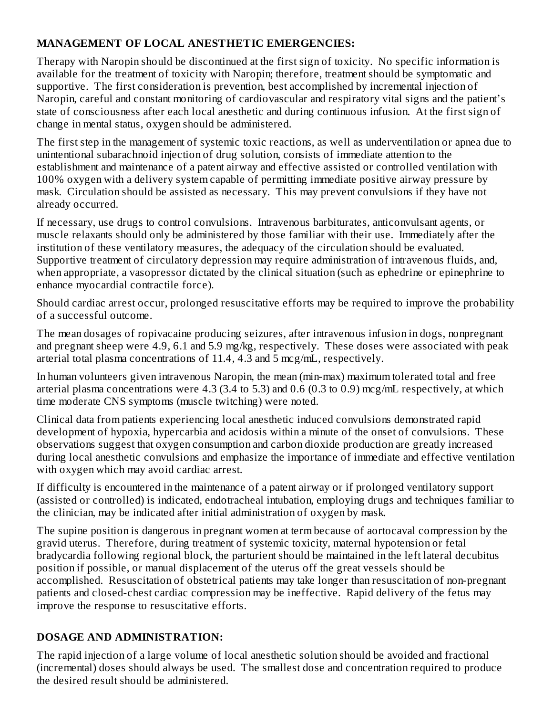# **MANAGEMENT OF LOCAL ANESTHETIC EMERGENCIES:**

Therapy with Naropin should be discontinued at the first sign of toxicity. No specific information is available for the treatment of toxicity with Naropin; therefore, treatment should be symptomatic and supportive. The first consideration is prevention, best accomplished by incremental injection of Naropin, careful and constant monitoring of cardiovascular and respiratory vital signs and the patient's state of consciousness after each local anesthetic and during continuous infusion. At the first sign of change in mental status, oxygen should be administered.

The first step in the management of systemic toxic reactions, as well as underventilation or apnea due to unintentional subarachnoid injection of drug solution, consists of immediate attention to the establishment and maintenance of a patent airway and effective assisted or controlled ventilation with 100% oxygen with a delivery system capable of permitting immediate positive airway pressure by mask. Circulation should be assisted as necessary. This may prevent convulsions if they have not already occurred.

If necessary, use drugs to control convulsions. Intravenous barbiturates, anticonvulsant agents, or muscle relaxants should only be administered by those familiar with their use. Immediately after the institution of these ventilatory measures, the adequacy of the circulation should be evaluated. Supportive treatment of circulatory depression may require administration of intravenous fluids, and, when appropriate, a vasopressor dictated by the clinical situation (such as ephedrine or epinephrine to enhance myocardial contractile force).

Should cardiac arrest occur, prolonged resuscitative efforts may be required to improve the probability of a successful outcome.

The mean dosages of ropivacaine producing seizures, after intravenous infusion in dogs, nonpregnant and pregnant sheep were 4.9, 6.1 and 5.9 mg/kg, respectively. These doses were associated with peak arterial total plasma concentrations of 11.4, 4.3 and 5 mcg/mL, respectively.

In human volunteers given intravenous Naropin, the mean (min-max) maximum tolerated total and free arterial plasma concentrations were 4.3 (3.4 to 5.3) and 0.6 (0.3 to 0.9) mcg/mL respectively, at which time moderate CNS symptoms (muscle twitching) were noted.

Clinical data from patients experiencing local anesthetic induced convulsions demonstrated rapid development of hypoxia, hypercarbia and acidosis within a minute of the onset of convulsions. These observations suggest that oxygen consumption and carbon dioxide production are greatly increased during local anesthetic convulsions and emphasize the importance of immediate and effective ventilation with oxygen which may avoid cardiac arrest.

If difficulty is encountered in the maintenance of a patent airway or if prolonged ventilatory support (assisted or controlled) is indicated, endotracheal intubation, employing drugs and techniques familiar to the clinician, may be indicated after initial administration of oxygen by mask.

The supine position is dangerous in pregnant women at term because of aortocaval compression by the gravid uterus. Therefore, during treatment of systemic toxicity, maternal hypotension or fetal bradycardia following regional block, the parturient should be maintained in the left lateral decubitus position if possible, or manual displacement of the uterus off the great vessels should be accomplished. Resuscitation of obstetrical patients may take longer than resuscitation of non-pregnant patients and closed-chest cardiac compression may be ineffective. Rapid delivery of the fetus may improve the response to resuscitative efforts.

# **DOSAGE AND ADMINISTRATION:**

The rapid injection of a large volume of local anesthetic solution should be avoided and fractional (incremental) doses should always be used. The smallest dose and concentration required to produce the desired result should be administered.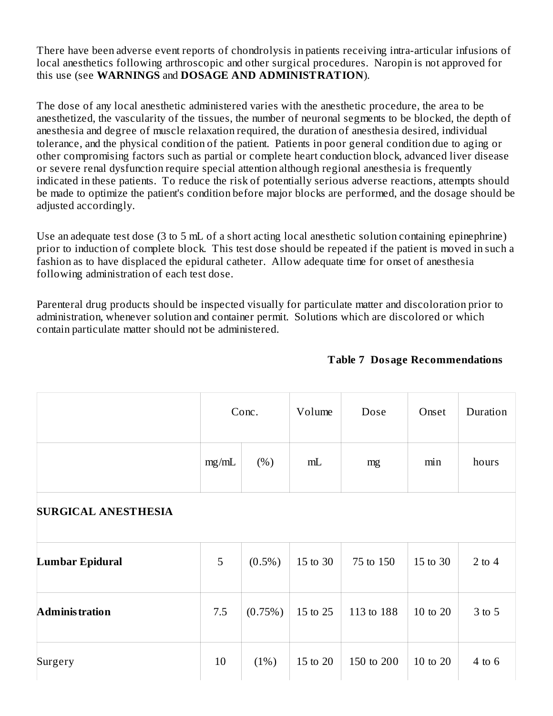There have been adverse event reports of chondrolysis in patients receiving intra-articular infusions of local anesthetics following arthroscopic and other surgical procedures. Naropin is not approved for this use (see **WARNINGS** and **DOSAGE AND ADMINISTRATION**).

The dose of any local anesthetic administered varies with the anesthetic procedure, the area to be anesthetized, the vascularity of the tissues, the number of neuronal segments to be blocked, the depth of anesthesia and degree of muscle relaxation required, the duration of anesthesia desired, individual tolerance, and the physical condition of the patient. Patients in poor general condition due to aging or other compromising factors such as partial or complete heart conduction block, advanced liver disease or severe renal dysfunction require special attention although regional anesthesia is frequently indicated in these patients. To reduce the risk of potentially serious adverse reactions, attempts should be made to optimize the patient's condition before major blocks are performed, and the dosage should be adjusted accordingly.

Use an adequate test dose (3 to 5 mL of a short acting local anesthetic solution containing epinephrine) prior to induction of complete block. This test dose should be repeated if the patient is moved in such a fashion as to have displaced the epidural catheter. Allow adequate time for onset of anesthesia following administration of each test dose.

Parenteral drug products should be inspected visually for particulate matter and discoloration prior to administration, whenever solution and container permit. Solutions which are discolored or which contain particulate matter should not be administered.

|                            |       | Conc.     | Volume   | Dose       | Onset    | Duration   |
|----------------------------|-------|-----------|----------|------------|----------|------------|
|                            | mg/mL | (%)       | mL       | mg         | min      | hours      |
| <b>SURGICAL ANESTHESIA</b> |       |           |          |            |          |            |
| <b>Lumbar Epidural</b>     | 5     | $(0.5\%)$ | 15 to 30 | 75 to 150  | 15 to 30 | $2$ to $4$ |
| Adminis tration            | 7.5   | (0.75%)   | 15 to 25 | 113 to 188 | 10 to 20 | 3 to 5     |
| Surgery                    | 10    | (1%)      | 15 to 20 | 150 to 200 | 10 to 20 | $4$ to $6$ |

#### **Table 7 Dosage Recommendations**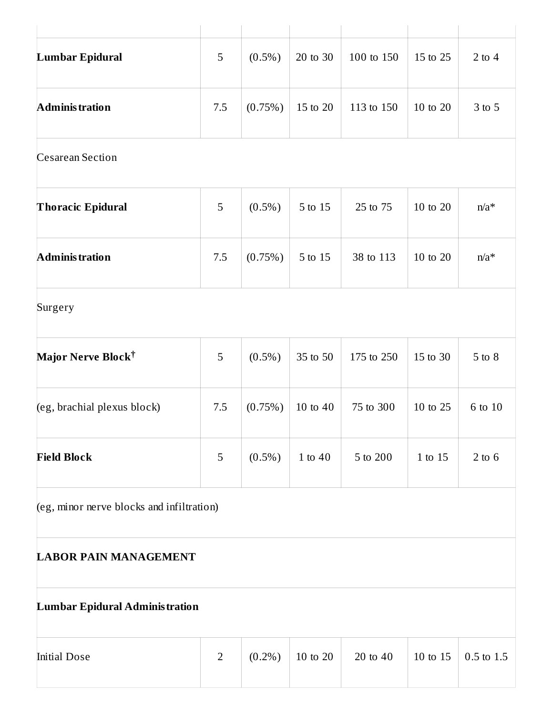| <b>Lumbar Epidural</b>                    | 5   | $(0.5\%)$ | 20 to 30 | 100 to 150 | 15 to 25 | $2$ to $4$       |
|-------------------------------------------|-----|-----------|----------|------------|----------|------------------|
| Adminis tration                           | 7.5 | (0.75%)   | 15 to 20 | 113 to 150 | 10 to 20 | 3 to 5           |
| <b>Cesarean Section</b>                   |     |           |          |            |          |                  |
| <b>Thoracic Epidural</b>                  | 5   | $(0.5\%)$ | 5 to 15  | 25 to 75   | 10 to 20 | $n/a*$           |
| Adminis tration                           | 7.5 | (0.75%)   | 5 to 15  | 38 to 113  | 10 to 20 | $n/a*$           |
| Surgery                                   |     |           |          |            |          |                  |
| Major Nerve Block <sup>†</sup>            | 5   | $(0.5\%)$ | 35 to 50 | 175 to 250 | 15 to 30 | 5 to 8           |
| (eg, brachial plexus block)               | 7.5 | (0.75%)   | 10 to 40 | 75 to 300  | 10 to 25 | 6 to 10          |
| <b>Field Block</b>                        | 5   | $(0.5\%)$ | 1 to 40  | 5 to 200   | 1 to 15  | $2$ to $6$       |
| (eg, minor nerve blocks and infiltration) |     |           |          |            |          |                  |
| <b>LABOR PAIN MANAGEMENT</b>              |     |           |          |            |          |                  |
| Lumbar Epidural Adminis tration           |     |           |          |            |          |                  |
| <b>Initial Dose</b>                       | 2   | $(0.2\%)$ | 10 to 20 | 20 to 40   | 10 to 15 | $0.5$ to $1.5\,$ |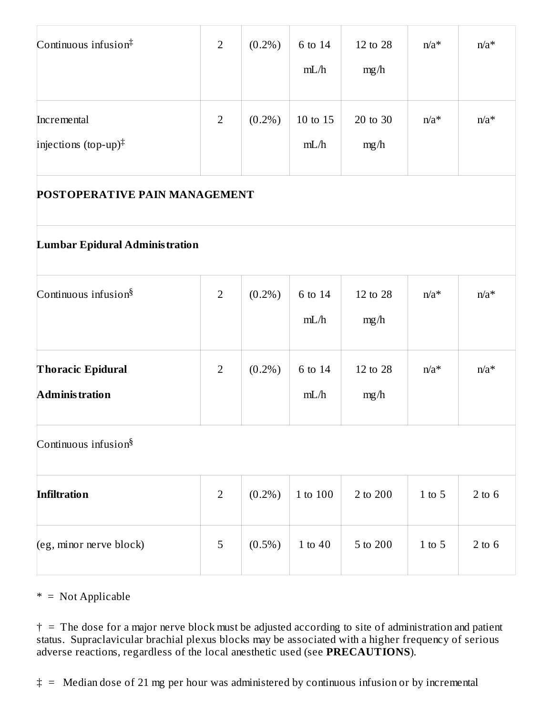| Continuous infusion $\ddagger$                    | $\overline{2}$ | $(0.2\%)$ | 6 to 14<br>mL/h  | 12 to 28<br>mg/h | $n/a*$     | $n/a*$       |
|---------------------------------------------------|----------------|-----------|------------------|------------------|------------|--------------|
| Incremental<br>injections (top-up) $\ddagger$     | $\overline{2}$ | $(0.2\%)$ | 10 to 15<br>mL/h | 20 to 30<br>mg/h | $n/a*$     | $n/a*$       |
| POSTOPERATIVE PAIN MANAGEMENT                     |                |           |                  |                  |            |              |
| Lumbar Epidural Adminis tration                   |                |           |                  |                  |            |              |
| Continuous infusion <sup>§</sup>                  | $\overline{2}$ | $(0.2\%)$ | 6 to 14<br>mL/h  | 12 to 28<br>mg/h | $n/a*$     | $n/a*$       |
| <b>Thoracic Epidural</b><br><b>Administration</b> | $\overline{2}$ | $(0.2\%)$ | 6 to 14<br>mL/h  | 12 to 28<br>mg/h | $n/a*$     | $n/a*$       |
| Continuous infusion <sup>§</sup>                  |                |           |                  |                  |            |              |
| <b>Infiltration</b>                               | $\overline{2}$ | $(0.2\%)$ | 1 to 100         | 2 to 200         | $1$ to $5$ | $2$ to $6\,$ |
| (eg, minor nerve block)                           | 5              | $(0.5\%)$ | 1 to 40          | 5 to 200         | $1$ to $5$ | $2$ to $6$   |

# \* = Not Applicable

† = The dose for a major nerve block must be adjusted according to site of administration and patient status. Supraclavicular brachial plexus blocks may be associated with a higher frequency of serious adverse reactions, regardless of the local anesthetic used (see **PRECAUTIONS**).

‡ = Median dose of 21 mg per hour was administered by continuous infusion or by incremental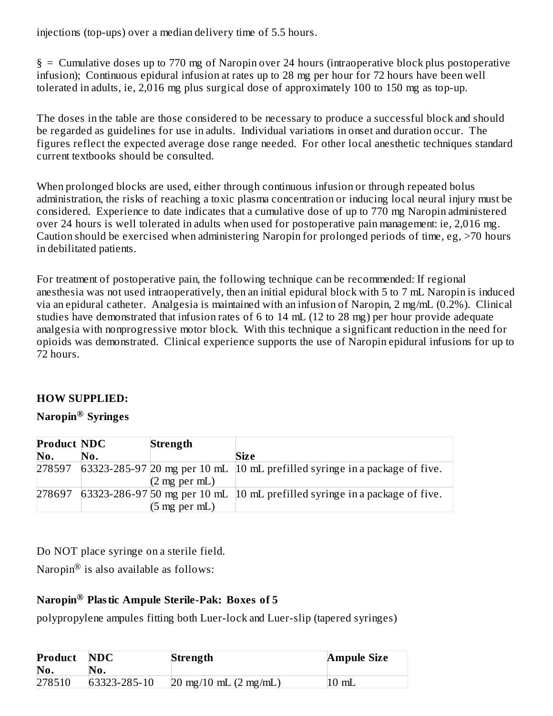injections (top-ups) over a median delivery time of 5.5 hours.

§ = Cumulative doses up to 770 mg of Naropin over 24 hours (intraoperative block plus postoperative infusion); Continuous epidural infusion at rates up to 28 mg per hour for 72 hours have been well tolerated in adults, ie, 2,016 mg plus surgical dose of approximately 100 to 150 mg as top-up.

The doses in the table are those considered to be necessary to produce a successful block and should be regarded as guidelines for use in adults. Individual variations in onset and duration occur. The figures reflect the expected average dose range needed. For other local anesthetic techniques standard current textbooks should be consulted.

When prolonged blocks are used, either through continuous infusion or through repeated bolus administration, the risks of reaching a toxic plasma concentration or inducing local neural injury must be considered. Experience to date indicates that a cumulative dose of up to 770 mg Naropin administered over 24 hours is well tolerated in adults when used for postoperative pain management: ie, 2,016 mg. Caution should be exercised when administering Naropin for prolonged periods of time, eg, >70 hours in debilitated patients.

For treatment of postoperative pain, the following technique can be recommended: If regional anesthesia was not used intraoperatively, then an initial epidural block with 5 to 7 mL Naropin is induced via an epidural catheter. Analgesia is maintained with an infusion of Naropin, 2 mg/mL (0.2%). Clinical studies have demonstrated that infusion rates of 6 to 14 mL (12 to 28 mg) per hour provide adequate analgesia with nonprogressive motor block. With this technique a significant reduction in the need for opioids was demonstrated. Clinical experience supports the use of Naropin epidural infusions for up to 72 hours.

#### **HOW SUPPLIED:**

#### **Naropin Syringes ®**

| <b>Product NDC</b> |     | Strength                |                                                                                    |
|--------------------|-----|-------------------------|------------------------------------------------------------------------------------|
| No.                | No. |                         | <b>Size</b>                                                                        |
| 278597             |     | $(2 \text{ mg per mL})$ | 63323-285-97 20 mg per 10 mL $\vert$ 10 mL prefilled syringe in a package of five. |
| 278697             |     | $(5 \text{ mg per mL})$ | $63323-286-97$ 50 mg per 10 mL 10 mL prefilled syringe in a package of five.       |

Do NOT place syringe on a sterile field.

Naropin $^{\circledR}$  is also available as follows:

# **Naropin Plastic Ampule Sterile-Pak: Boxes of 5 ®**

polypropylene ampules fitting both Luer-lock and Luer-slip (tapered syringes)

| <b>Product</b><br>No. | <b>NDC</b><br>No. | Strength                                | <b>Ampule Size</b> |
|-----------------------|-------------------|-----------------------------------------|--------------------|
| 278510                | 63323-285-10      | $20 \text{ mg}/10 \text{ mL}$ (2 mg/mL) | 10 mL              |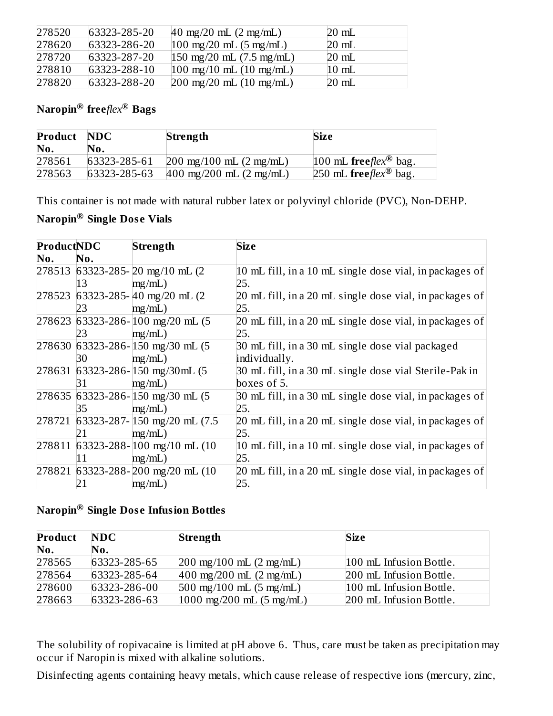| 278520 | 63323-285-20 | $40 \text{ mg}/20 \text{ mL}$ (2 mg/mL)    | $20 \text{ mL}$ |
|--------|--------------|--------------------------------------------|-----------------|
| 278620 | 63323-286-20 | $100 \text{ mg}/20 \text{ mL}$ (5 mg/mL)   | $20 \text{ mL}$ |
| 278720 | 63323-287-20 | $150 \text{ mg}/20 \text{ mL}$ (7.5 mg/mL) | $20$ mL         |
| 278810 | 63323-288-10 | $100 \text{ mg}/10 \text{ mL}$ (10 mg/mL)  | $10$ mL         |
| 278820 | 63323-288-20 | $200 \text{ mg}/20 \text{ mL}$ (10 mg/mL)  | $20$ mL         |

# $\mathbf{N}$ aropin $^\circledR$  free $\mathit{flex}^\circledR$   $\mathbf{B}$ ags

| <b>Product NDC</b> |              | Strength                                  | <b>Size</b>                        |
|--------------------|--------------|-------------------------------------------|------------------------------------|
| No.                | No.          |                                           |                                    |
| 278561             | 63323-285-61 | $200 \text{ mg}/100 \text{ mL}$ (2 mg/mL) | 100 mL free flex <sup>®</sup> bag. |
| 278563             | 63323-285-63 | 400 mg/200 mL $(2 \text{ mg/mL})$         | 250 mL free flex <sup>®</sup> bag. |

This container is not made with natural rubber latex or polyvinyl chloride (PVC), Non-DEHP.

#### **Naropin Single Dos e Vials ®**

| <b>ProductNDC</b> |     | Strength                            | <b>Size</b>                                             |
|-------------------|-----|-------------------------------------|---------------------------------------------------------|
| No.               | No. |                                     |                                                         |
|                   |     | 278513 63323-285-20 mg/10 mL (2)    | 10 mL fill, in a 10 mL single dose vial, in packages of |
|                   | 13  | mg/mL)                              | 25.                                                     |
|                   |     | 278523 63323-285-40 mg/20 mL (2)    | 20 mL fill, in a 20 mL single dose vial, in packages of |
|                   | 23  | mg/mL)                              | 25.                                                     |
|                   |     | 278623 63323-286-100 mg/20 mL (5    | 20 mL fill, in a 20 mL single dose vial, in packages of |
|                   | 23  | mg/mL)                              | 25.                                                     |
|                   |     | 278630 63323-286-150 mg/30 mL (5)   | 30 mL fill, in a 30 mL single dose vial packaged        |
|                   | 30  | mg/mL)                              | individually.                                           |
|                   |     | 278631 63323-286-150 mg/30mL (5     | 30 mL fill, in a 30 mL single dose vial Sterile-Pakin   |
|                   | 31  | mg/mL)                              | boxes of 5.                                             |
|                   |     | 278635 63323-286-150 mg/30 mL (5)   | 30 mL fill, in a 30 mL single dose vial, in packages of |
|                   | 35  | mg/mL)                              | 25.                                                     |
|                   |     | 278721 63323-287-150 mg/20 mL (7.5) | 20 mL fill, in a 20 mL single dose vial, in packages of |
|                   | 21  | mg/mL)                              | 25.                                                     |
|                   |     | 278811 63323-288-100 mg/10 mL (10   | 10 mL fill, in a 10 mL single dose vial, in packages of |
|                   | 11  | mg/mL)                              | 25.                                                     |
| 278821            |     | 63323-288-200 mg/20 mL $(10)$       | 20 mL fill, in a 20 mL single dose vial, in packages of |
|                   | 21  | mg/mL)                              | 25.                                                     |

#### **Naropin Single Dos e Infusion Bottles ®**

| Product | <b>NDC</b>   | <b>Strength</b>                                     | <b>Size</b>             |
|---------|--------------|-----------------------------------------------------|-------------------------|
| No.     | No.          |                                                     |                         |
| 278565  | 63323-285-65 | $[200 \text{ mg}/100 \text{ mL} (2 \text{ mg/mL})]$ | 100 mL Infusion Bottle. |
| 278564  | 63323-285-64 | $400 \text{ mg}/200 \text{ mL}$ (2 mg/mL)           | 200 mL Infusion Bottle. |
| 278600  | 63323-286-00 | $500 \text{ mg}/100 \text{ mL}$ (5 mg/mL)           | 100 mL Infusion Bottle. |
| 278663  | 63323-286-63 | $1000 \text{ mg}/200 \text{ mL}$ (5 mg/mL)          | 200 mL Infusion Bottle. |

The solubility of ropivacaine is limited at pH above 6. Thus, care must be taken as precipitation may occur if Naropin is mixed with alkaline solutions.

Disinfecting agents containing heavy metals, which cause release of respective ions (mercury, zinc,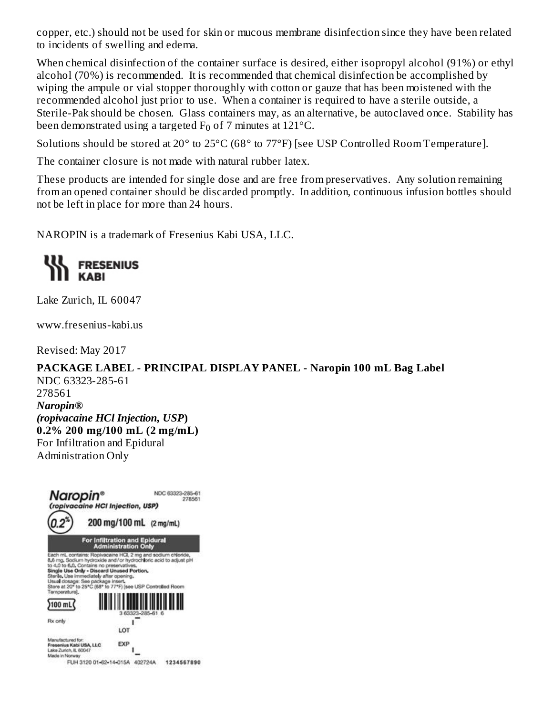copper, etc.) should not be used for skin or mucous membrane disinfection since they have been related to incidents of swelling and edema.

When chemical disinfection of the container surface is desired, either isopropyl alcohol (91%) or ethyl alcohol (70%) is recommended. It is recommended that chemical disinfection be accomplished by wiping the ampule or vial stopper thoroughly with cotton or gauze that has been moistened with the recommended alcohol just prior to use. When a container is required to have a sterile outside, a Sterile-Pak should be chosen. Glass containers may, as an alternative, be autoclaved once. Stability has been demonstrated using a targeted  $\mathrm{F}_0$  of 7 minutes at 121°C.

Solutions should be stored at 20° to 25°C (68° to 77°F) [see USP Controlled Room Temperature].

The container closure is not made with natural rubber latex.

These products are intended for single dose and are free from preservatives. Any solution remaining from an opened container should be discarded promptly. In addition, continuous infusion bottles should not be left in place for more than 24 hours.

NAROPIN is a trademark of Fresenius Kabi USA, LLC.

# **FRESENIUS**

Lake Zurich, IL 60047

www.fresenius-kabi.us

Revised: May 2017

**PACKAGE LABEL - PRINCIPAL DISPLAY PANEL - Naropin 100 mL Bag Label** NDC 63323-285-61 278561 *Naropin® (ropivacaine HCl Injection, USP***) 0.2% 200 mg/100 mL (2 mg/mL)** For Infiltration and Epidural Administration Only

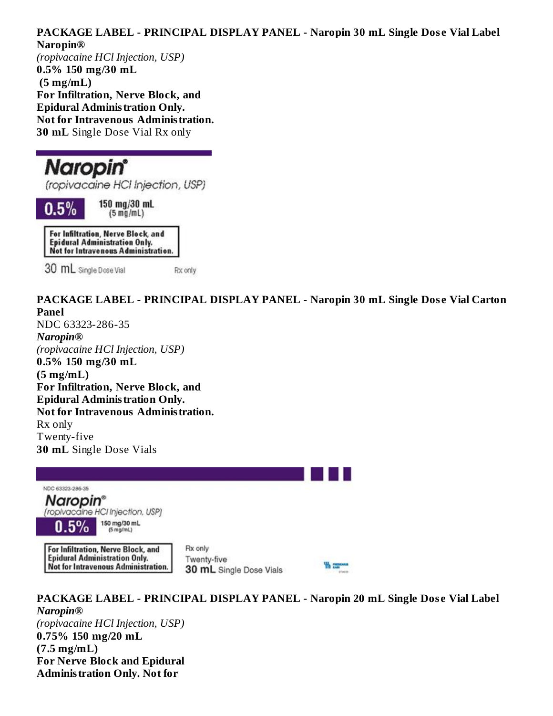#### **PACKAGE LABEL - PRINCIPAL DISPLAY PANEL - Naropin 30 mL Single Dos e Vial Label**

**Naropin®** *(ropivacaine HCl Injection, USP)* **0.5% 150 mg/30 mL (5 mg/mL) For Infiltration, Nerve Block, and Epidural Administration Only. Not for Intravenous Administration. 30 mL** Single Dose Vial Rx only



#### **PACKAGE LABEL - PRINCIPAL DISPLAY PANEL - Naropin 30 mL Single Dos e Vial Carton Panel** NDC 63323-286-35 *Naropin® (ropivacaine HCl Injection, USP)* **0.5% 150 mg/30 mL (5 mg/mL) For Infiltration, Nerve Block, and Epidural Administration Only. Not for Intravenous Administration.** Rx only Twenty-five **30 mL** Single Dose Vials



**PACKAGE LABEL - PRINCIPAL DISPLAY PANEL - Naropin 20 mL Single Dos e Vial Label** *Naropin®*

*(ropivacaine HCl Injection, USP)* **0.75% 150 mg/20 mL (7.5 mg/mL) For Nerve Block and Epidural Administration Only. Not for**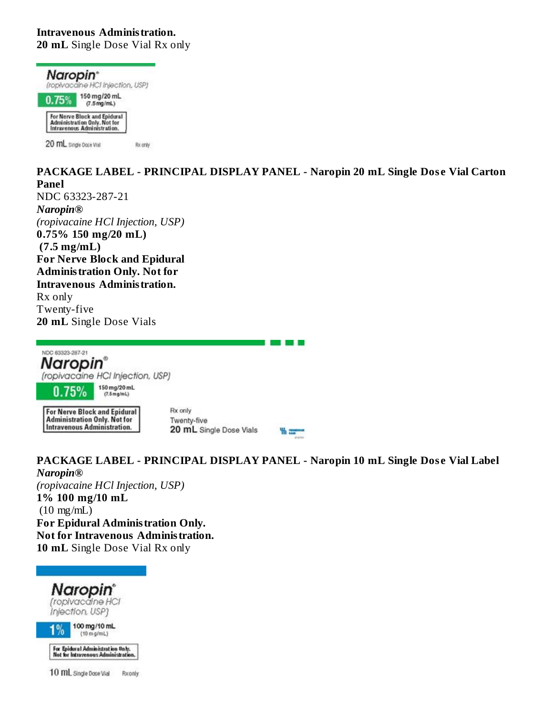#### **Intravenous Administration. 20 mL** Single Dose Vial Rx only

| Naropin <sup>®</sup> | (ropivacalne HCI Injection, USP)                                                            |
|----------------------|---------------------------------------------------------------------------------------------|
| 0.75%                | 150 mg/20 mL<br>$(7.5 \text{ mg/mL})$                                                       |
|                      | For Nerve Block and Epidural<br>Administration Only. Not for<br>Intravenous Administration. |

# **PACKAGE LABEL - PRINCIPAL DISPLAY PANEL - Naropin 20 mL Single Dos e Vial Carton Panel**

NDC 63323-287-21 *Naropin® (ropivacaine HCl Injection, USP)* **0.75% 150 mg/20 mL) (7.5 mg/mL) For Nerve Block and Epidural Administration Only. Not for Intravenous Administration.** Rx only Twenty-five **20 mL** Single Dose Vials

**The College College** NDC 63323-287-21 **Naropin**® (ropivacaine HCI Injection, USP) 150 mg/20 mL<br>(7.5 mg/mL)  $0.75%$ Rx only For Nerve Block and Epidural **Administration Only. Not for** Twenty-five **Intravenous Administration.** 20 mL Single Dose Vials W come

**PACKAGE LABEL - PRINCIPAL DISPLAY PANEL - Naropin 10 mL Single Dos e Vial Label** *Naropin® (ropivacaine HCl Injection, USP)* **1% 100 mg/10 mL** (10 mg/mL) **For Epidural Administration Only. Not for Intravenous Administration. 10 mL** Single Dose Vial Rx only

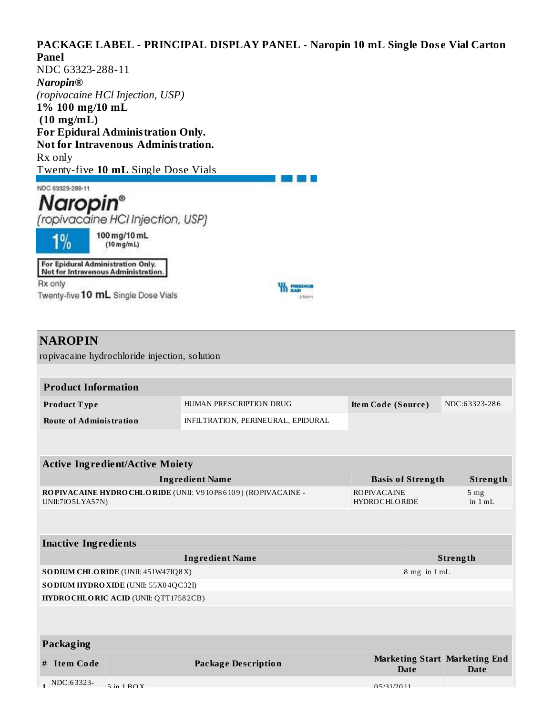**PACKAGE LABEL - PRINCIPAL DISPLAY PANEL - Naropin 10 mL Single Dos e Vial Carton Panel** NDC 63323-288-11 *Naropin® (ropivacaine HCl Injection, USP)* **1% 100 mg/10 mL (10 mg/mL) For Epidural Administration Only. Not for Intravenous Administration.** Rx only Twenty-five **10 mL** Single Dose Vials **The Contract of Street**  $\mathcal{C}^{\mathcal{A}}$  and NDC 63323-288-11 **Naropin®** (ropivacaine HCI Injection, USP) 100 mg/10 mL  $1%$  $(10 \text{ mg/mL})$ 

**The Exerc** 

**STAAN** 

For Epidural Administration Only.<br>Not for Intravenous Administration. Rx only

Twenty-five 10 mL Single Dose Vials

| <b>NAROPIN</b>                 |                                               |                                                             |                                            |                          |          |                                                     |
|--------------------------------|-----------------------------------------------|-------------------------------------------------------------|--------------------------------------------|--------------------------|----------|-----------------------------------------------------|
|                                | ropivacaine hydrochloride injection, solution |                                                             |                                            |                          |          |                                                     |
|                                |                                               |                                                             |                                            |                          |          |                                                     |
| <b>Product Information</b>     |                                               |                                                             |                                            |                          |          |                                                     |
| Product Type                   |                                               | HUMAN PRESCRIPTION DRUG                                     | Item Code (Source)                         |                          |          | NDC:63323-286                                       |
| <b>Route of Administration</b> |                                               | INFILTRATION, PERINEURAL, EPIDURAL                          |                                            |                          |          |                                                     |
|                                |                                               |                                                             |                                            |                          |          |                                                     |
|                                |                                               |                                                             |                                            |                          |          |                                                     |
|                                | <b>Active Ingredient/Active Moiety</b>        |                                                             |                                            |                          |          |                                                     |
|                                |                                               | <b>Ingredient Name</b>                                      |                                            | <b>Basis of Strength</b> |          | Strength                                            |
| UNII:7IO5LYA57N)               |                                               | ROPIVACAINE HYDROCHLORIDE (UNII: V910P86109) (ROPIVACAINE - | <b>ROPIVACAINE</b><br><b>HYDROCHLORIDE</b> |                          |          | 5 <sub>mg</sub><br>in $1 \text{ mL}$                |
|                                |                                               |                                                             |                                            |                          |          |                                                     |
| <b>Inactive Ingredients</b>    |                                               |                                                             |                                            |                          |          |                                                     |
|                                |                                               | <b>Ingredient Name</b>                                      |                                            |                          | Strength |                                                     |
|                                | SO DIUM CHLORIDE (UNII: 451W47IQ8X)           |                                                             |                                            | $8$ mg in $1$ mL         |          |                                                     |
|                                | SO DIUM HYDRO XIDE (UNII: 55X04QC32I)         |                                                             |                                            |                          |          |                                                     |
|                                | HYDRO CHLORIC ACID (UNII: QTT17582CB)         |                                                             |                                            |                          |          |                                                     |
|                                |                                               |                                                             |                                            |                          |          |                                                     |
| <b>Packaging</b>               |                                               |                                                             |                                            |                          |          |                                                     |
| <b>Item Code</b><br>#          |                                               | <b>Package Description</b>                                  |                                            | <b>Date</b>              |          | <b>Marketing Start Marketing End</b><br><b>Date</b> |
| NDC:63323-                     | 5 in 1 R <sub>O</sub> Y                       |                                                             | 05/21/2011                                 |                          |          |                                                     |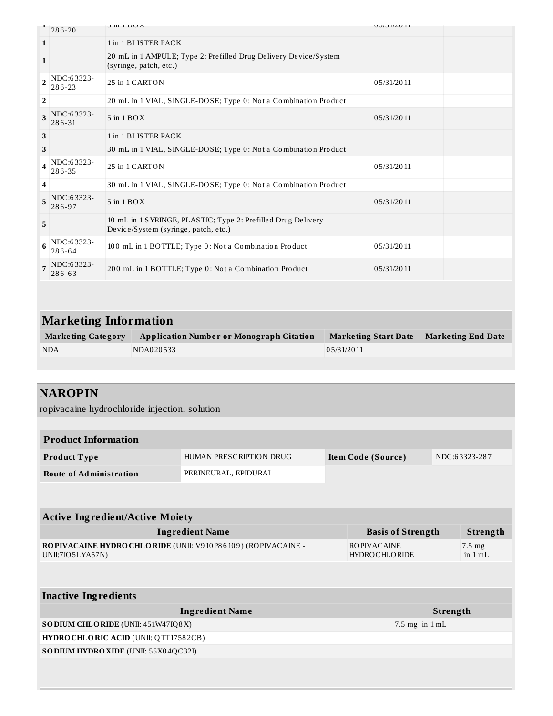| $\mathbf{r}$            | 286-20                   | <b>J</b> III L DUA                                                                                   | <b>UUULLED</b> |
|-------------------------|--------------------------|------------------------------------------------------------------------------------------------------|----------------|
| 1                       |                          | 1 in 1 BLISTER PACK                                                                                  |                |
| 1                       |                          | 20 mL in 1 AMPULE; Type 2: Prefilled Drug Delivery Device/System<br>(syringe, patch, etc.)           |                |
| $\overline{2}$          | NDC:63323-<br>286-23     | 25 in 1 CARTON                                                                                       | 05/31/2011     |
| 2                       |                          | 20 mL in 1 VIAL, SINGLE-DOSE; Type 0: Not a Combination Product                                      |                |
| 3                       | NDC:63323-<br>286-31     | $5$ in $1$ $BOX$                                                                                     | 05/31/2011     |
| 3                       |                          | 1 in 1 BLISTER PACK                                                                                  |                |
| 3                       |                          | 30 mL in 1 VIAL, SINGLE-DOSE; Type 0: Not a Combination Product                                      |                |
| $\overline{\mathbf{4}}$ | NDC:63323-<br>286-35     | 25 in 1 CARTON                                                                                       | 05/31/2011     |
| 4                       |                          | 30 mL in 1 VIAL, SINGLE-DOSE; Type 0: Not a Combination Product                                      |                |
|                         | NDC:63323-<br>286-97     | $5$ in $1$ $BOX$                                                                                     | 05/31/2011     |
| 5                       |                          | 10 mL in 1 SYRINGE, PLASTIC; Type 2: Prefilled Drug Delivery<br>Device/System (syringe, patch, etc.) |                |
|                         | NDC:63323-<br>286-64     | 100 mL in 1 BOTTLE; Type 0: Not a Combination Product                                                | 05/31/2011     |
|                         | NDC:63323-<br>$286 - 63$ | 200 mL in 1 BOTTLE; Type 0: Not a Combination Product                                                | 05/31/2011     |
|                         |                          |                                                                                                      |                |
|                         |                          |                                                                                                      |                |
|                         |                          |                                                                                                      |                |

# **Marketing Information**

| <b>Marketing Category</b> | <b>Application Number or Monograph Citation</b> | Marketing Start Date | Marketing End Date |
|---------------------------|-------------------------------------------------|----------------------|--------------------|
| <b>NDA</b>                | NDA020533                                       | 05/31/2011           |                    |

# **NAROPIN**

ropivacaine hydrochloride injection, solution

| <b>Product Information</b>     |                         |                    |               |  |  |  |
|--------------------------------|-------------------------|--------------------|---------------|--|--|--|
| <b>Product Type</b>            | HUMAN PRESCRIPTION DRUG | Item Code (Source) | NDC:63323-287 |  |  |  |
| <b>Route of Administration</b> | PERINEURAL, EPIDURAL    |                    |               |  |  |  |

| <b>Active Ingredient/Active Moiety</b>                                          |                                            |                             |  |  |  |
|---------------------------------------------------------------------------------|--------------------------------------------|-----------------------------|--|--|--|
| <b>Ingredient Name</b>                                                          | <b>Basis of Strength</b>                   | Strength                    |  |  |  |
| ROPIVACAINE HYDROCHLORIDE (UNII: V910P86109) (ROPIVACAINE -<br>UNII:7IO5LYA57N) | <b>ROPIVACAINE</b><br><b>HYDROCHLORIDE</b> | $7.5 \text{ mg}$<br>in 1 mL |  |  |  |
|                                                                                 |                                            |                             |  |  |  |
| <b>Inactive Ingredients</b>                                                     |                                            |                             |  |  |  |

| <b>Ingredient Name</b>                       | Strength                          |
|----------------------------------------------|-----------------------------------|
| <b>SODIUM CHLORIDE</b> (UNII: 451W47IQ8X)    | $\sqrt{7.5}$ mg in $1 \text{ mL}$ |
| <b>HYDRO CHLORIC ACID (UNII: QTT17582CB)</b> |                                   |
| SO DIUM HYDRO XIDE (UNII: 55X04QC32I)        |                                   |
|                                              |                                   |
|                                              |                                   |
|                                              |                                   |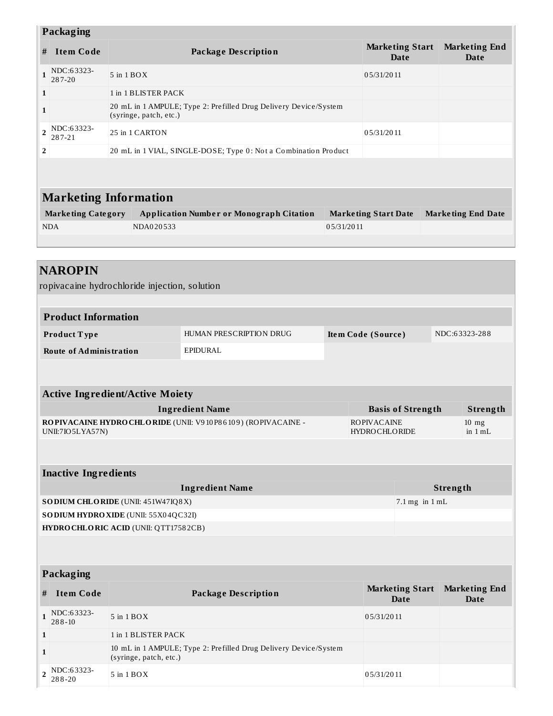|                | <b>Packaging</b>               |                                               |                                                                  |                    |                                     |                                       |               |                              |
|----------------|--------------------------------|-----------------------------------------------|------------------------------------------------------------------|--------------------|-------------------------------------|---------------------------------------|---------------|------------------------------|
| #              | <b>Item Code</b>               |                                               | <b>Package Description</b>                                       |                    |                                     | <b>Marketing Start</b><br>Date        |               | <b>Marketing End</b><br>Date |
| $\mathbf{1}$   | NDC:63323-<br>287-20           | $5$ in $1$ $BOX$                              |                                                                  |                    | 05/31/2011                          |                                       |               |                              |
| $\mathbf{1}$   |                                | 1 in 1 BLISTER PACK                           |                                                                  |                    |                                     |                                       |               |                              |
| $\mathbf{1}$   |                                | (syringe, patch, etc.)                        | 20 mL in 1 AMPULE; Type 2: Prefilled Drug Delivery Device/System |                    |                                     |                                       |               |                              |
| $\overline{2}$ | NDC:63323-<br>287-21           | 25 in 1 CARTON                                |                                                                  | 05/31/2011         |                                     |                                       |               |                              |
| $\mathbf 2$    |                                |                                               | 20 mL in 1 VIAL, SINGLE-DOSE; Type 0: Not a Combination Product  |                    |                                     |                                       |               |                              |
|                |                                |                                               |                                                                  |                    |                                     |                                       |               |                              |
|                |                                | <b>Marketing Information</b>                  |                                                                  |                    |                                     |                                       |               |                              |
|                | <b>Marketing Category</b>      |                                               | <b>Application Number or Monograph Citation</b>                  |                    | <b>Marketing Start Date</b>         |                                       |               | <b>Marketing End Date</b>    |
|                | <b>NDA</b>                     | NDA020533                                     |                                                                  | 05/31/2011         |                                     |                                       |               |                              |
|                |                                |                                               |                                                                  |                    |                                     |                                       |               |                              |
|                | <b>NAROPIN</b>                 |                                               |                                                                  |                    |                                     |                                       |               |                              |
|                |                                | ropivacaine hydrochloride injection, solution |                                                                  |                    |                                     |                                       |               |                              |
|                |                                |                                               |                                                                  |                    |                                     |                                       |               |                              |
|                | <b>Product Information</b>     |                                               |                                                                  |                    |                                     |                                       |               |                              |
|                | Product Type                   |                                               | HUMAN PRESCRIPTION DRUG                                          | Item Code (Source) |                                     |                                       | NDC:63323-288 |                              |
|                | <b>Route of Administration</b> |                                               | <b>EPIDURAL</b>                                                  |                    |                                     |                                       |               |                              |
|                |                                |                                               |                                                                  |                    |                                     |                                       |               |                              |
|                |                                | <b>Active Ingredient/Active Moiety</b>        |                                                                  |                    |                                     |                                       |               |                              |
|                |                                |                                               | <b>Ingredient Name</b>                                           |                    |                                     | <b>Basis of Strength</b>              |               | Strength                     |
|                | UNII:7IO5LYA57N)               |                                               | ROPIVACAINE HYDRO CHLORIDE (UNII: V910P86109) (ROPIVACAINE -     |                    | <b>ROPIVACAINE</b><br>HYDROCHLORIDE |                                       |               | $10$ mg<br>in $1 mL$         |
|                |                                |                                               |                                                                  |                    |                                     |                                       |               |                              |
|                | <b>Inactive Ingredients</b>    |                                               |                                                                  |                    |                                     |                                       |               |                              |
|                |                                |                                               | <b>Ingredient Name</b>                                           |                    |                                     |                                       | Strength      |                              |
|                |                                | SODIUM CHLORIDE (UNII: 451W47IQ8X)            |                                                                  |                    |                                     | $7.1 \text{ mg}$ in $1 \text{ mL}$    |               |                              |
|                |                                | SO DIUM HYDRO XIDE (UNII: 55X04QC32I)         |                                                                  |                    |                                     |                                       |               |                              |
|                |                                | HYDROCHLORIC ACID (UNII: QTT17582CB)          |                                                                  |                    |                                     |                                       |               |                              |
|                |                                |                                               |                                                                  |                    |                                     |                                       |               |                              |
|                | Packaging                      |                                               |                                                                  |                    |                                     |                                       |               |                              |
| #              | <b>Item Code</b>               | <b>Package Description</b>                    |                                                                  |                    |                                     | <b>Marketing Start</b><br><b>Date</b> |               | <b>Marketing End</b><br>Date |
| $\mathbf{1}$   | NDC:63323-<br>$288 - 10$       | 5 in 1 BOX                                    |                                                                  |                    | 05/31/2011                          |                                       |               |                              |
| $\mathbf{1}$   |                                | 1 in 1 BLISTER PACK                           |                                                                  |                    |                                     |                                       |               |                              |
| $\mathbf{1}$   |                                | (syringe, patch, etc.)                        | 10 mL in 1 AMPULE; Type 2: Prefilled Drug Delivery Device/System |                    |                                     |                                       |               |                              |
| $\overline{2}$ | NDC:63323-<br>288-20           | 5 in 1 BOX                                    |                                                                  |                    | 05/31/2011                          |                                       |               |                              |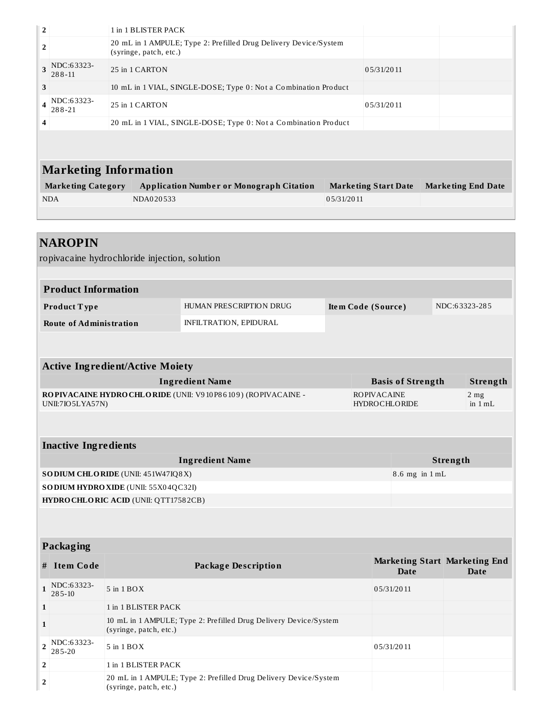| $\overline{2}$          |                                                                 |  | 1 in 1 BLISTER PACK                                                                        |            |                             |  |                           |  |  |
|-------------------------|-----------------------------------------------------------------|--|--------------------------------------------------------------------------------------------|------------|-----------------------------|--|---------------------------|--|--|
| 2                       |                                                                 |  | 20 mL in 1 AMPULE; Type 2: Prefilled Drug Delivery Device/System<br>(syringe, patch, etc.) |            |                             |  |                           |  |  |
| $\overline{\mathbf{3}}$ | NDC:63323-<br>288-11                                            |  | 25 in 1 CARTON                                                                             |            | 05/31/2011                  |  |                           |  |  |
| 3                       |                                                                 |  | 10 mL in 1 VIAL, SINGLE-DOSE; Type 0: Not a Combination Product                            |            |                             |  |                           |  |  |
| $\overline{\mathbf{A}}$ | NDC:63323-<br>288-21                                            |  | 25 in 1 CARTON                                                                             |            | 05/31/2011                  |  |                           |  |  |
| 4                       | 20 mL in 1 VIAL, SINGLE-DOSE; Type 0: Not a Combination Product |  |                                                                                            |            |                             |  |                           |  |  |
|                         |                                                                 |  |                                                                                            |            |                             |  |                           |  |  |
|                         | <b>Marketing Information</b>                                    |  |                                                                                            |            |                             |  |                           |  |  |
|                         | <b>Marketing Category</b>                                       |  | <b>Application Number or Monograph Citation</b>                                            |            | <b>Marketing Start Date</b> |  | <b>Marketing End Date</b> |  |  |
|                         | <b>NDA</b>                                                      |  | NDA020533                                                                                  | 05/31/2011 |                             |  |                           |  |  |
|                         |                                                                 |  |                                                                                            |            |                             |  |                           |  |  |

|                         | <b>NAROPIN</b>                 |                                               |                                                                  |  |                                            |                                      |          |                              |
|-------------------------|--------------------------------|-----------------------------------------------|------------------------------------------------------------------|--|--------------------------------------------|--------------------------------------|----------|------------------------------|
|                         |                                | ropivacaine hydrochloride injection, solution |                                                                  |  |                                            |                                      |          |                              |
|                         |                                |                                               |                                                                  |  |                                            |                                      |          |                              |
|                         | <b>Product Information</b>     |                                               |                                                                  |  |                                            |                                      |          |                              |
|                         | Product Type                   |                                               | Item Code (Source)                                               |  |                                            | NDC:63323-285                        |          |                              |
|                         | <b>Route of Administration</b> |                                               | INFILTRATION, EPIDURAL                                           |  |                                            |                                      |          |                              |
|                         |                                |                                               |                                                                  |  |                                            |                                      |          |                              |
|                         |                                |                                               |                                                                  |  |                                            |                                      |          |                              |
|                         |                                | <b>Active Ingredient/Active Moiety</b>        |                                                                  |  |                                            |                                      |          |                              |
|                         |                                |                                               | <b>Ingredient Name</b>                                           |  |                                            | <b>Basis of Strength</b>             |          | Strength                     |
|                         | UNII:7IO5LYA57N)               |                                               | ROPIVACAINE HYDROCHLORIDE (UNII: V910P86109) (ROPIVACAINE -      |  | <b>ROPIVACAINE</b><br><b>HYDROCHLORIDE</b> |                                      |          | 2 <sub>mg</sub><br>in $1 mL$ |
|                         |                                |                                               |                                                                  |  |                                            |                                      |          |                              |
|                         |                                |                                               |                                                                  |  |                                            |                                      |          |                              |
|                         | <b>Inactive Ingredients</b>    |                                               |                                                                  |  |                                            |                                      |          |                              |
|                         |                                |                                               | <b>Ingredient Name</b>                                           |  |                                            |                                      | Strength |                              |
|                         |                                | SODIUM CHLORIDE (UNII: 451W47IQ8X)            |                                                                  |  |                                            | 8.6 mg in 1 mL                       |          |                              |
|                         |                                | SO DIUM HYDRO XIDE (UNII: 55X04QC32I)         |                                                                  |  |                                            |                                      |          |                              |
|                         |                                | HYDROCHLORIC ACID (UNII: QTT17582CB)          |                                                                  |  |                                            |                                      |          |                              |
|                         |                                |                                               |                                                                  |  |                                            |                                      |          |                              |
|                         | Packaging                      |                                               |                                                                  |  |                                            |                                      |          |                              |
|                         |                                |                                               |                                                                  |  |                                            | <b>Marketing Start Marketing End</b> |          |                              |
| #                       | <b>Item Code</b>               |                                               | <b>Package Description</b>                                       |  |                                            | Date                                 |          | Date                         |
| $\mathbf{1}$            | NDC:63323-<br>285-10           | $5$ in $1$ $BOX$                              |                                                                  |  |                                            | 05/31/2011                           |          |                              |
| $\mathbf{1}$            |                                | 1 in 1 BLISTER PACK                           |                                                                  |  |                                            |                                      |          |                              |
| 1                       |                                | (syringe, patch, etc.)                        | 10 mL in 1 AMPULE; Type 2: Prefilled Drug Delivery Device/System |  |                                            |                                      |          |                              |
| $\overline{2}$          | NDC:63323-<br>285-20           | 5 in 1 BOX                                    |                                                                  |  |                                            | 05/31/2011                           |          |                              |
| $\overline{\mathbf{2}}$ |                                | 1 in 1 BLISTER PACK                           |                                                                  |  |                                            |                                      |          |                              |
| $\overline{\mathbf{2}}$ |                                | (syringe, patch, etc.)                        | 20 mL in 1 AMPULE; Type 2: Prefilled Drug Delivery Device/System |  |                                            |                                      |          |                              |